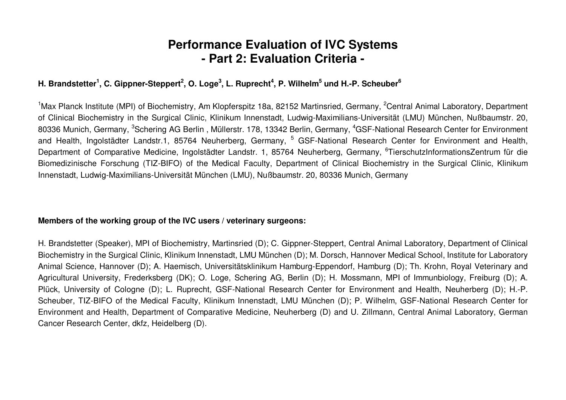# **Performance Evaluation of IVC Systems - Part 2: Evaluation Criteria -**

# H. Brandstetter<sup>1</sup>, C. Gippner-Steppert<sup>2</sup>, O. Loge<sup>3</sup>, L. Ruprecht<sup>4</sup>, P. Wilhelm<sup>5</sup> und H.-P. Scheuber<sup>6</sup>

<sup>1</sup>Max Planck Institute (MPI) of Biochemistry, Am Klopferspitz 18a, 82152 Martinsried, Germany, <sup>2</sup>Central Animal Laboratory, Department of Clinical Biochemistry in the Surgical Clinic, Klinikum Innenstadt, Ludwig-Maximilians-Universität (LMU) München, Nußbaumstr. 20, 80336 Munich, Germany, <sup>3</sup>Schering AG Berlin , Müllerstr. 178, 13342 Berlin, Germany, <sup>4</sup>GSF-National Research Center for Environment and Health, Ingolstädter Landstr.1, 85764 Neuherberg, Germany, <sup>5</sup> GSF-National Research Center for Environment and Health, Department of Comparative Medicine, Ingolstädter Landstr. 1, 85764 Neuherberg, Germany, <sup>6</sup>TierschutzInformationsZentrum für die Biomedizinische Forschung (TIZ-BIFO) of the Medical Faculty, Department of Clinical Biochemistry in the Surgical Clinic, Klinikum Innenstadt, Ludwig-Maximilians-Universität München (LMU), Nußbaumstr. 20, 80336 Munich, Germany

#### **Members of the working group of the IVC users / veterinary surgeons:**

H. Brandstetter (Speaker), MPI of Biochemistry, Martinsried (D); C. Gippner-Steppert, Central Animal Laboratory, Department of Clinical Biochemistry in the Surgical Clinic, Klinikum Innenstadt, LMU München (D); M. Dorsch, Hannover Medical School, Institute for Laboratory Animal Science, Hannover (D); A. Haemisch, Universitätsklinikum Hamburg-Eppendorf, Hamburg (D); Th. Krohn, Royal Veterinary and Agricultural University, Frederksberg (DK); O. Loge, Schering AG, Berlin (D); H. Mossmann, MPI of Immunbiology, Freiburg (D); A. Plück, University of Cologne (D); L. Ruprecht, GSF-National Research Center for Environment and Health, Neuherberg (D); H.-P. Scheuber, TIZ-BIFO of the Medical Faculty, Klinikum Innenstadt, LMU München (D); P. Wilhelm, GSF-National Research Center for Environment and Health, Department of Comparative Medicine, Neuherberg (D) and U. Zillmann, Central Animal Laboratory, German Cancer Research Center, dkfz, Heidelberg (D).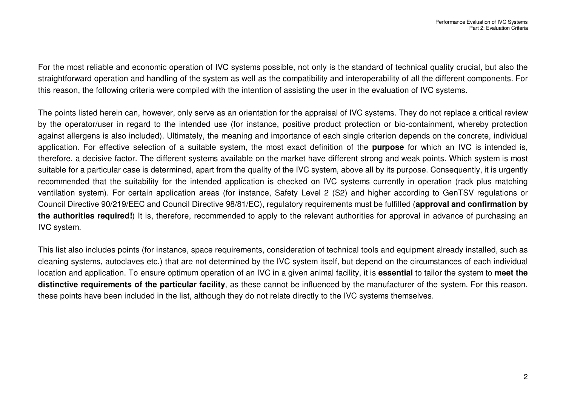For the most reliable and economic operation of IVC systems possible, not only is the standard of technical quality crucial, but also the straightforward operation and handling of the system as well as the compatibility and interoperability of all the different components. For this reason, the following criteria were compiled with the intention of assisting the user in the evaluation of IVC systems.

The points listed herein can, however, only serve as an orientation for the appraisal of IVC systems. They do not replace <sup>a</sup> critical review by the operator/user in regard to the intended use (for instance, positive product protection or bio-containment, whereby protection against allergens is also included). Ultimately, the meaning and importance of each single criterion depends on the concrete, individual application. For effective selection of <sup>a</sup> suitable system, the most exact definition of the **purpose** for which an IVC is intended is, therefore, <sup>a</sup> decisive factor. The different systems available on the market have different strong and weak points. Which system is most suitable for <sup>a</sup> particular case is determined, apart from the quality of the IVC system, above all by its purpose. Consequently, it is urgently recommended that the suitability for the intended application is checked on IVC systems currently in operation (rack plus matching ventilation system). For certain application areas (for instance, Safety Level 2 (S2) and higher according to GenTSV regulations or Council Directive 90/219/EEC and Council Directive 98/81/EC), regulatory requirements must be fulfilled (**approval and confirmation by the authorities required!**) It is, therefore, recommended to apply to the relevant authorities for approval in advance of purchasing an IVC system.

This list also includes points (for instance, space requirements, consideration of technical tools and equipment already installed, such as cleaning systems, autoclaves etc.) that are not determined by the IVC system itself, but depend on the circumstances of each individual location and application. To ensure optimum operation of an IVC in <sup>a</sup> given animal facility, it is **essential** to tailor the system to **meet the distinctive requirements of the particular facility**, as these cannot be influenced by the manufacturer of the system. For this reason, these points have been included in the list, although they do not relate directly to the IVC systems themselves.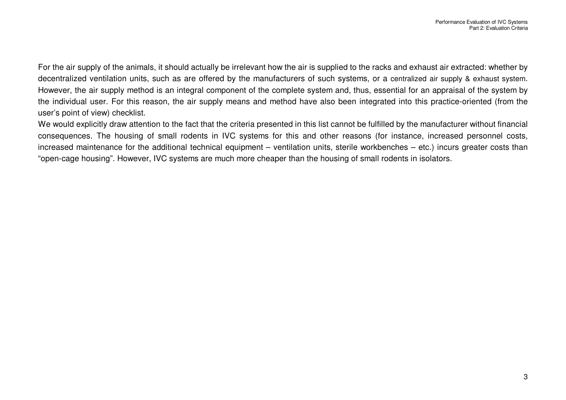For the air supply of the animals, it should actually be irrelevant how the air is supplied to the racks and exhaust air extracted: whether by decentralized ventilation units, such as are offered by the manufacturers of such systems, or <sup>a</sup> centralized air supply & exhaust system. However, the air supply method is an integral component of the complete system and, thus, essential for an appraisal of the system by the individual user. For this reason, the air supply means and method have also been integrated into this practice-oriented (from the user's point of view) checklist.

We would explicitly draw attention to the fact that the criteria presented in this list cannot be fulfilled by the manufacturer without financial consequences. The housing of small rodents in IVC systems for this and other reasons (for instance, increased personnel costs, increased maintenance for the additional technical equipment – ventilation units, sterile workbenches – etc.) incurs greater costs than "open-cage housing". However, IVC systems are much more cheaper than the housing of small rodents in isolators.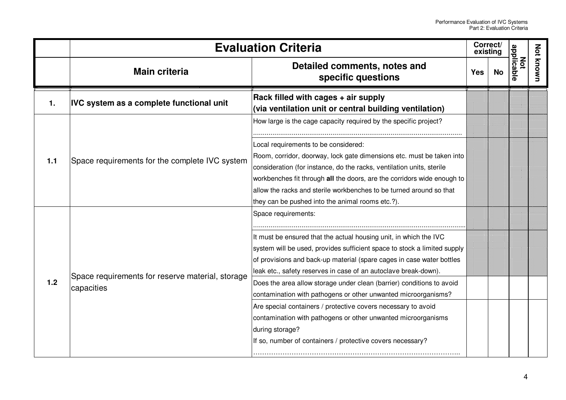|                | <b>Evaluation Criteria</b>                                     |                                                                                                                                                                                                                                                                                                                                                                                                                                                                                                                                                                                                                                                                                |            | Correct/<br>existing |                          |                  |
|----------------|----------------------------------------------------------------|--------------------------------------------------------------------------------------------------------------------------------------------------------------------------------------------------------------------------------------------------------------------------------------------------------------------------------------------------------------------------------------------------------------------------------------------------------------------------------------------------------------------------------------------------------------------------------------------------------------------------------------------------------------------------------|------------|----------------------|--------------------------|------------------|
|                | <b>Main criteria</b>                                           | Detailed comments, notes and<br>specific questions                                                                                                                                                                                                                                                                                                                                                                                                                                                                                                                                                                                                                             | <b>Yes</b> | No                   | applicable<br><b>Not</b> | <b>Not known</b> |
| $\mathbf{1}$ . | <b>IVC system as a complete functional unit</b>                | Rack filled with cages + air supply<br>(via ventilation unit or central building ventilation)                                                                                                                                                                                                                                                                                                                                                                                                                                                                                                                                                                                  |            |                      |                          |                  |
| 1.1            |                                                                | How large is the cage capacity required by the specific project?                                                                                                                                                                                                                                                                                                                                                                                                                                                                                                                                                                                                               |            |                      |                          |                  |
|                | Space requirements for the complete IVC system                 | Local requirements to be considered:<br>Room, corridor, doorway, lock gate dimensions etc. must be taken into<br>consideration (for instance, do the racks, ventilation units, sterile<br>workbenches fit through all the doors, are the corridors wide enough to<br>allow the racks and sterile workbenches to be turned around so that<br>they can be pushed into the animal rooms etc.?).                                                                                                                                                                                                                                                                                   |            |                      |                          |                  |
| 1.2            | Space requirements for reserve material, storage<br>capacities | Space requirements:<br>It must be ensured that the actual housing unit, in which the IVC<br>system will be used, provides sufficient space to stock a limited supply<br>of provisions and back-up material (spare cages in case water bottles<br>leak etc., safety reserves in case of an autoclave break-down).<br>Does the area allow storage under clean (barrier) conditions to avoid<br>contamination with pathogens or other unwanted microorganisms?<br>Are special containers / protective covers necessary to avoid<br>contamination with pathogens or other unwanted microorganisms<br>during storage?<br>If so, number of containers / protective covers necessary? |            |                      |                          |                  |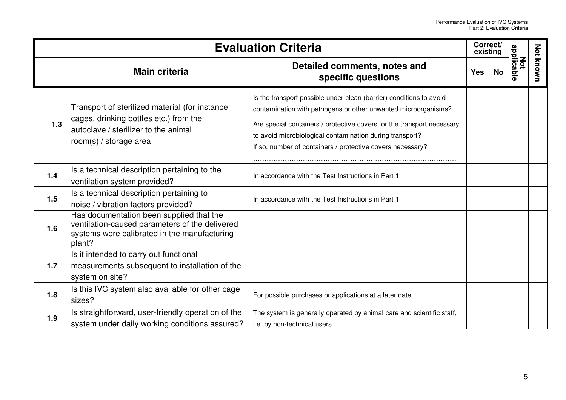|       | <b>Evaluation Criteria</b>                                                                                                                           |                                                                                                                                                                                                  |            | Correct/<br>existing |                   |           |
|-------|------------------------------------------------------------------------------------------------------------------------------------------------------|--------------------------------------------------------------------------------------------------------------------------------------------------------------------------------------------------|------------|----------------------|-------------------|-----------|
|       | <b>Main criteria</b>                                                                                                                                 | Detailed comments, notes and<br>specific questions                                                                                                                                               | <b>Yes</b> | No                   | Not<br>applicable | Not known |
|       | Transport of sterilized material (for instance                                                                                                       | Is the transport possible under clean (barrier) conditions to avoid<br>contamination with pathogens or other unwanted microorganisms?                                                            |            |                      |                   |           |
| 1.3   | cages, drinking bottles etc.) from the<br>autoclave / sterilizer to the animal<br>room(s) / storage area                                             | Are special containers / protective covers for the transport necessary<br>to avoid microbiological contamination during transport?<br>If so, number of containers / protective covers necessary? |            |                      |                   |           |
| $1.4$ | Is a technical description pertaining to the<br>ventilation system provided?                                                                         | In accordance with the Test Instructions in Part 1.                                                                                                                                              |            |                      |                   |           |
| 1.5   | Is a technical description pertaining to<br>noise / vibration factors provided?                                                                      | In accordance with the Test Instructions in Part 1.                                                                                                                                              |            |                      |                   |           |
| 1.6   | Has documentation been supplied that the<br>ventilation-caused parameters of the delivered<br>systems were calibrated in the manufacturing<br>plant? |                                                                                                                                                                                                  |            |                      |                   |           |
| 1.7   | Is it intended to carry out functional<br>measurements subsequent to installation of the<br>system on site?                                          |                                                                                                                                                                                                  |            |                      |                   |           |
| 1.8   | Is this IVC system also available for other cage<br>sizes?                                                                                           | For possible purchases or applications at a later date.                                                                                                                                          |            |                      |                   |           |
| 1.9   | Is straightforward, user-friendly operation of the<br>system under daily working conditions assured?                                                 | The system is generally operated by animal care and scientific staff,<br>i.e. by non-technical users.                                                                                            |            |                      |                   |           |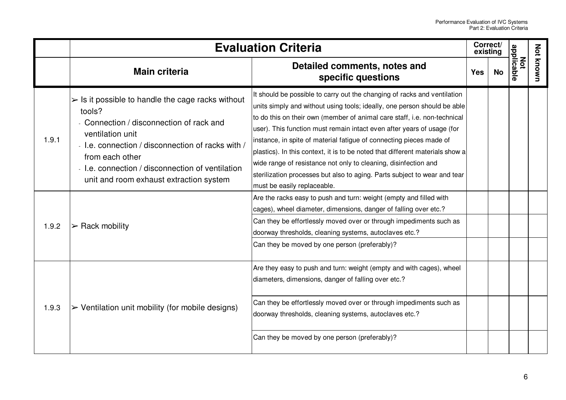|       |                                                                                                                                                                                                                                                                                                                   | <b>Evaluation Criteria</b>                                                                                                                                                                                                                                                                                                                                                                                                                                                                                                                                                                                                                        | Correct/<br>existing |    |                          |           |
|-------|-------------------------------------------------------------------------------------------------------------------------------------------------------------------------------------------------------------------------------------------------------------------------------------------------------------------|---------------------------------------------------------------------------------------------------------------------------------------------------------------------------------------------------------------------------------------------------------------------------------------------------------------------------------------------------------------------------------------------------------------------------------------------------------------------------------------------------------------------------------------------------------------------------------------------------------------------------------------------------|----------------------|----|--------------------------|-----------|
|       | <b>Main criteria</b>                                                                                                                                                                                                                                                                                              | Detailed comments, notes and<br>specific questions                                                                                                                                                                                                                                                                                                                                                                                                                                                                                                                                                                                                | <b>Yes</b>           | No | applicable<br><b>Not</b> | Not known |
| 1.9.1 | $\triangleright$ Is it possible to handle the cage racks without<br>tools?<br>- Connection / disconnection of rack and<br>ventilation unit<br>- I.e. connection / disconnection of racks with /<br>from each other<br>- I.e. connection / disconnection of ventilation<br>unit and room exhaust extraction system | It should be possible to carry out the changing of racks and ventilation<br>units simply and without using tools; ideally, one person should be able<br>to do this on their own (member of animal care staff, i.e. non-technical<br>user). This function must remain intact even after years of usage (for<br>instance, in spite of material fatigue of connecting pieces made of<br>plastics). In this context, it is to be noted that different materials show a<br>wide range of resistance not only to cleaning, disinfection and<br>sterilization processes but also to aging. Parts subject to wear and tear<br>must be easily replaceable. |                      |    |                          |           |
| 1.9.2 | $>$ Rack mobility                                                                                                                                                                                                                                                                                                 | Are the racks easy to push and turn: weight (empty and filled with<br>cages), wheel diameter, dimensions, danger of falling over etc.?<br>Can they be effortlessly moved over or through impediments such as<br>doorway thresholds, cleaning systems, autoclaves etc.?<br>Can they be moved by one person (preferably)?                                                                                                                                                                                                                                                                                                                           |                      |    |                          |           |
| 1.9.3 | $\triangleright$ Ventilation unit mobility (for mobile designs)                                                                                                                                                                                                                                                   | Are they easy to push and turn: weight (empty and with cages), wheel<br>diameters, dimensions, danger of falling over etc.?<br>Can they be effortlessly moved over or through impediments such as<br>doorway thresholds, cleaning systems, autoclaves etc.?<br>Can they be moved by one person (preferably)?                                                                                                                                                                                                                                                                                                                                      |                      |    |                          |           |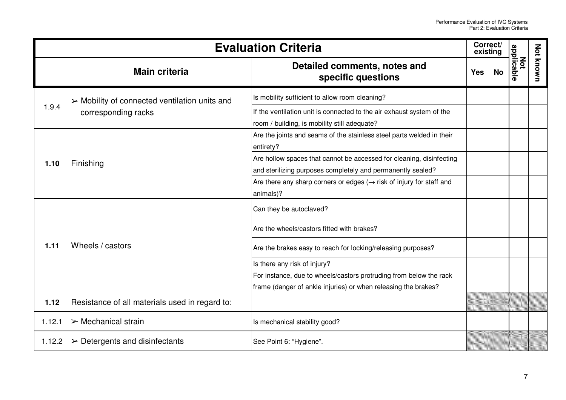|        |                                                              | <b>Evaluation Criteria</b>                                                                                                                                           | Correct/<br>existing |           |                   |           |
|--------|--------------------------------------------------------------|----------------------------------------------------------------------------------------------------------------------------------------------------------------------|----------------------|-----------|-------------------|-----------|
|        | <b>Main criteria</b>                                         | Detailed comments, notes and<br>specific questions                                                                                                                   | <b>Yes</b>           | <b>No</b> | applicable<br>Not | Not known |
|        | $\triangleright$ Mobility of connected ventilation units and | Is mobility sufficient to allow room cleaning?                                                                                                                       |                      |           |                   |           |
| 1.9.4  | corresponding racks                                          | If the ventilation unit is connected to the air exhaust system of the<br>room / building, is mobility still adequate?                                                |                      |           |                   |           |
| 1.10   | Finishing                                                    | Are the joints and seams of the stainless steel parts welded in their<br>entirety?                                                                                   |                      |           |                   |           |
|        |                                                              | Are hollow spaces that cannot be accessed for cleaning, disinfecting<br>and sterilizing purposes completely and permanently sealed?                                  |                      |           |                   |           |
|        |                                                              | Are there any sharp corners or edges $(\rightarrow$ risk of injury for staff and<br>animals)?                                                                        |                      |           |                   |           |
|        |                                                              | Can they be autoclaved?                                                                                                                                              |                      |           |                   |           |
|        |                                                              | Are the wheels/castors fitted with brakes?                                                                                                                           |                      |           |                   |           |
| 1.11   | Wheels / castors                                             | Are the brakes easy to reach for locking/releasing purposes?                                                                                                         |                      |           |                   |           |
|        |                                                              | Is there any risk of injury?<br>For instance, due to wheels/castors protruding from below the rack<br>frame (danger of ankle injuries) or when releasing the brakes? |                      |           |                   |           |
| 1.12   | Resistance of all materials used in regard to:               |                                                                                                                                                                      |                      |           |                   |           |
| 1.12.1 | $\triangleright$ Mechanical strain                           | Is mechanical stability good?                                                                                                                                        |                      |           |                   |           |
| 1.12.2 | $\triangleright$ Detergents and disinfectants                | See Point 6: "Hygiene".                                                                                                                                              |                      |           |                   |           |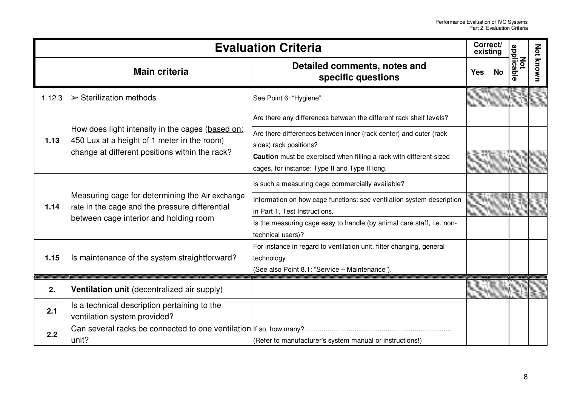|        | <b>Evaluation Criteria</b>                                                                                                                        |                                                                                                                                      |            | Correct/<br>existing |                   |           |
|--------|---------------------------------------------------------------------------------------------------------------------------------------------------|--------------------------------------------------------------------------------------------------------------------------------------|------------|----------------------|-------------------|-----------|
|        | <b>Main criteria</b>                                                                                                                              | Detailed comments, notes and<br>specific questions                                                                                   | <b>Yes</b> | <b>No</b>            | Not<br>applicable | Not known |
| 1.12.3 | $\triangleright$ Sterilization methods                                                                                                            | See Point 6: "Hygiene".                                                                                                              |            |                      |                   |           |
|        |                                                                                                                                                   | Are there any differences between the different rack shelf levels?                                                                   |            |                      |                   |           |
| 1.13   | How does light intensity in the cages (based on:<br>450 Lux at a height of 1 meter in the room)<br>change at different positions within the rack? | Are there differences between inner (rack center) and outer (rack<br>sides) rack positions?                                          |            |                      |                   |           |
|        |                                                                                                                                                   | Caution must be exercised when filling a rack with different-sized<br>cages, for instance: Type II and Type II long.                 |            |                      |                   |           |
|        | Measuring cage for determining the Air exchange<br>rate in the cage and the pressure differential<br>between cage interior and holding room       | Is such a measuring cage commercially available?                                                                                     |            |                      |                   |           |
| 1.14   |                                                                                                                                                   | Information on how cage functions: see ventilation system description<br>in Part 1, Test Instructions.                               |            |                      |                   |           |
|        |                                                                                                                                                   | Is the measuring cage easy to handle (by animal care staff, i.e. non-<br>technical users)?                                           |            |                      |                   |           |
| 1.15   | Is maintenance of the system straightforward?                                                                                                     | For instance in regard to ventilation unit, filter changing, general<br>technology.<br>(See also Point 8.1: "Service - Maintenance") |            |                      |                   |           |
| 2.     | Ventilation unit (decentralized air supply)                                                                                                       |                                                                                                                                      |            |                      |                   |           |
| 2.1    | Is a technical description pertaining to the<br>ventilation system provided?                                                                      |                                                                                                                                      |            |                      |                   |           |
| 2.2    | Can several racks be connected to one ventilation If so, how many?<br>unit?                                                                       | (Refer to manufacturer's system manual or instructions!)                                                                             |            |                      |                   |           |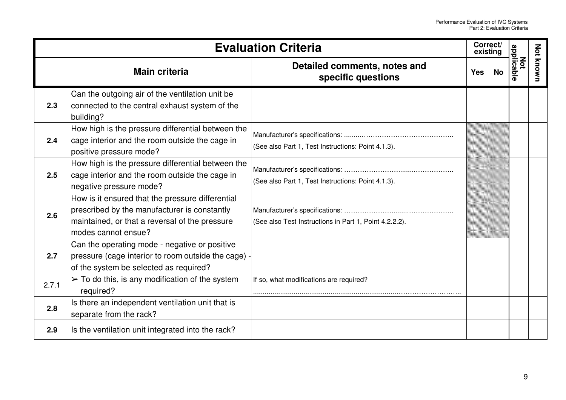|       |                                                                                                                                                                           | <b>Evaluation Criteria</b>                             | Correct/<br>existing |    |                   |                  |
|-------|---------------------------------------------------------------------------------------------------------------------------------------------------------------------------|--------------------------------------------------------|----------------------|----|-------------------|------------------|
|       | <b>Main criteria</b>                                                                                                                                                      | Detailed comments, notes and<br>specific questions     | <b>Yes</b>           | No | Not<br>applicable | <b>Not known</b> |
| 2.3   | Can the outgoing air of the ventilation unit be<br>connected to the central exhaust system of the<br>building?                                                            |                                                        |                      |    |                   |                  |
| 2.4   | How high is the pressure differential between the<br>cage interior and the room outside the cage in<br>positive pressure mode?                                            | (See also Part 1, Test Instructions: Point 4.1.3).     |                      |    |                   |                  |
| 2.5   | How high is the pressure differential between the<br>cage interior and the room outside the cage in<br>negative pressure mode?                                            | (See also Part 1, Test Instructions: Point 4.1.3).     |                      |    |                   |                  |
| 2.6   | How is it ensured that the pressure differential<br>prescribed by the manufacturer is constantly<br>maintained, or that a reversal of the pressure<br>modes cannot ensue? | (See also Test Instructions in Part 1, Point 4.2.2.2). |                      |    |                   |                  |
| 2.7   | Can the operating mode - negative or positive<br>pressure (cage interior to room outside the cage) -<br>of the system be selected as required?                            |                                                        |                      |    |                   |                  |
| 2.7.1 | $\geq$ To do this, is any modification of the system<br>required?                                                                                                         | If so, what modifications are required?                |                      |    |                   |                  |
| 2.8   | Is there an independent ventilation unit that is<br>separate from the rack?                                                                                               |                                                        |                      |    |                   |                  |
| 2.9   | Is the ventilation unit integrated into the rack?                                                                                                                         |                                                        |                      |    |                   |                  |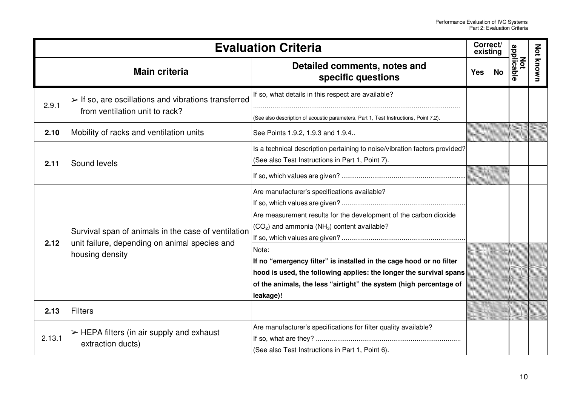|        | <b>Evaluation Criteria</b>                                                                            |                                                                                      | Correct/<br>existing |                                |                  |  |
|--------|-------------------------------------------------------------------------------------------------------|--------------------------------------------------------------------------------------|----------------------|--------------------------------|------------------|--|
|        | <b>Main criteria</b>                                                                                  | Detailed comments, notes and<br>specific questions                                   | <b>Yes</b>           | Not<br>applicable<br><b>No</b> | <b>Not known</b> |  |
| 2.9.1  | $\triangleright$ If so, are oscillations and vibrations transferred<br>from ventilation unit to rack? | If so, what details in this respect are available?                                   |                      |                                |                  |  |
|        |                                                                                                       | (See also description of acoustic parameters, Part 1, Test Instructions, Point 7.2). |                      |                                |                  |  |
| 2.10   | Mobility of racks and ventilation units                                                               | See Points 1.9.2, 1.9.3 and 1.9.4                                                    |                      |                                |                  |  |
| 2.11   | Sound levels                                                                                          | Is a technical description pertaining to noise/vibration factors provided?           |                      |                                |                  |  |
|        |                                                                                                       | (See also Test Instructions in Part 1, Point 7).                                     |                      |                                |                  |  |
|        |                                                                                                       |                                                                                      |                      |                                |                  |  |
|        | Survival span of animals in the case of ventilation                                                   | Are manufacturer's specifications available?                                         |                      |                                |                  |  |
|        |                                                                                                       |                                                                                      |                      |                                |                  |  |
|        |                                                                                                       | Are measurement results for the development of the carbon dioxide                    |                      |                                |                  |  |
|        |                                                                                                       | $\vert$ (CO <sub>2</sub> ) and ammonia (NH <sub>3</sub> ) content available?         |                      |                                |                  |  |
| 2.12   | unit failure, depending on animal species and                                                         |                                                                                      |                      |                                |                  |  |
|        | housing density                                                                                       | Note:                                                                                |                      |                                |                  |  |
|        |                                                                                                       | If no "emergency filter" is installed in the cage hood or no filter                  |                      |                                |                  |  |
|        |                                                                                                       | hood is used, the following applies: the longer the survival spans                   |                      |                                |                  |  |
|        |                                                                                                       | of the animals, the less "airtight" the system (high percentage of                   |                      |                                |                  |  |
|        |                                                                                                       | leakage)!                                                                            |                      |                                |                  |  |
| 2.13   | Filters                                                                                               |                                                                                      |                      |                                |                  |  |
|        | $\triangleright$ HEPA filters (in air supply and exhaust                                              | Are manufacturer's specifications for filter quality available?                      |                      |                                |                  |  |
| 2.13.1 |                                                                                                       |                                                                                      |                      |                                |                  |  |
|        | extraction ducts)                                                                                     | (See also Test Instructions in Part 1, Point 6).                                     |                      |                                |                  |  |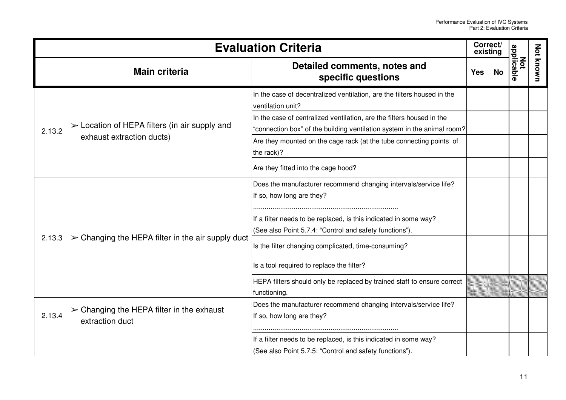|        |                                                                  | <b>Evaluation Criteria</b>                                                                                                                       | Correct/<br>existing |           |                   |           |
|--------|------------------------------------------------------------------|--------------------------------------------------------------------------------------------------------------------------------------------------|----------------------|-----------|-------------------|-----------|
|        | <b>Main criteria</b>                                             | Detailed comments, notes and<br>specific questions                                                                                               | <b>Yes</b>           | <b>No</b> | applicable<br>Not | Not known |
|        |                                                                  | In the case of decentralized ventilation, are the filters housed in the<br>ventilation unit?                                                     |                      |           |                   |           |
| 2.13.2 | $\triangleright$ Location of HEPA filters (in air supply and     | In the case of centralized ventilation, are the filters housed in the<br>"connection box" of the building ventilation system in the animal room? |                      |           |                   |           |
|        | exhaust extraction ducts)                                        | Are they mounted on the cage rack (at the tube connecting points of<br>the rack)?                                                                |                      |           |                   |           |
|        |                                                                  | Are they fitted into the cage hood?                                                                                                              |                      |           |                   |           |
|        |                                                                  | Does the manufacturer recommend changing intervals/service life?<br>If so, how long are they?                                                    |                      |           |                   |           |
|        |                                                                  | If a filter needs to be replaced, is this indicated in some way?<br>(See also Point 5.7.4: "Control and safety functions").                      |                      |           |                   |           |
| 2.13.3 | $\triangleright$ Changing the HEPA filter in the air supply duct | Is the filter changing complicated, time-consuming?                                                                                              |                      |           |                   |           |
|        |                                                                  | Is a tool required to replace the filter?                                                                                                        |                      |           |                   |           |
|        |                                                                  | HEPA filters should only be replaced by trained staff to ensure correct<br>functioning.                                                          |                      |           |                   |           |
|        | $\triangleright$ Changing the HEPA filter in the exhaust         | Does the manufacturer recommend changing intervals/service life?                                                                                 |                      |           |                   |           |
| 2.13.4 | extraction duct                                                  | If so, how long are they?                                                                                                                        |                      |           |                   |           |
|        |                                                                  | If a filter needs to be replaced, is this indicated in some way?                                                                                 |                      |           |                   |           |
|        |                                                                  | (See also Point 5.7.5: "Control and safety functions").                                                                                          |                      |           |                   |           |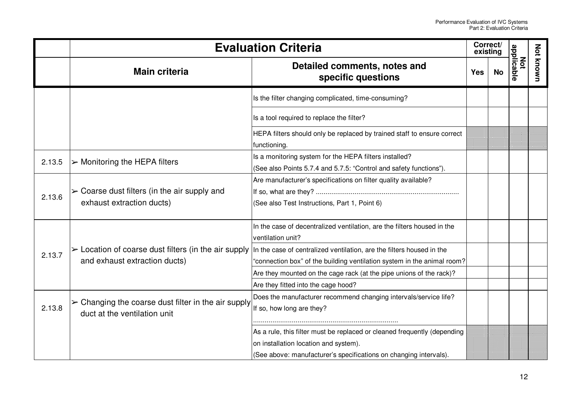|        |                                                                                                    | <b>Evaluation Criteria</b>                                                                                                                                                                                            | Correct/<br>existing |           |                   |           |
|--------|----------------------------------------------------------------------------------------------------|-----------------------------------------------------------------------------------------------------------------------------------------------------------------------------------------------------------------------|----------------------|-----------|-------------------|-----------|
|        | <b>Main criteria</b>                                                                               | Detailed comments, notes and<br>specific questions                                                                                                                                                                    | <b>Yes</b>           | <b>No</b> | applicable<br>Not | Not known |
|        |                                                                                                    | Is the filter changing complicated, time-consuming?                                                                                                                                                                   |                      |           |                   |           |
|        |                                                                                                    | Is a tool required to replace the filter?                                                                                                                                                                             |                      |           |                   |           |
|        |                                                                                                    | HEPA filters should only be replaced by trained staff to ensure correct<br>functioning.                                                                                                                               |                      |           |                   |           |
| 2.13.5 | $\triangleright$ Monitoring the HEPA filters                                                       | Is a monitoring system for the HEPA filters installed?<br>(See also Points 5.7.4 and 5.7.5: "Control and safety functions").                                                                                          |                      |           |                   |           |
| 2.13.6 | $\triangleright$ Coarse dust filters (in the air supply and<br>exhaust extraction ducts)           | Are manufacturer's specifications on filter quality available?<br>(See also Test Instructions, Part 1, Point 6)                                                                                                       |                      |           |                   |           |
|        |                                                                                                    | In the case of decentralized ventilation, are the filters housed in the<br>ventilation unit?                                                                                                                          |                      |           |                   |           |
| 2.13.7 | and exhaust extraction ducts)                                                                      | $\triangleright$ Location of coarse dust filters (in the air supply  In the case of centralized ventilation, are the filters housed in the<br>"connection box" of the building ventilation system in the animal room? |                      |           |                   |           |
|        |                                                                                                    | Are they mounted on the cage rack (at the pipe unions of the rack)?<br>Are they fitted into the cage hood?                                                                                                            |                      |           |                   |           |
| 2.13.8 | $\triangleright$ Changing the coarse dust filter in the air supply<br>duct at the ventilation unit | Does the manufacturer recommend changing intervals/service life?<br>If so, how long are they?                                                                                                                         |                      |           |                   |           |
|        |                                                                                                    | As a rule, this filter must be replaced or cleaned frequently (depending<br>on installation location and system).<br>(See above: manufacturer's specifications on changing intervals).                                |                      |           |                   |           |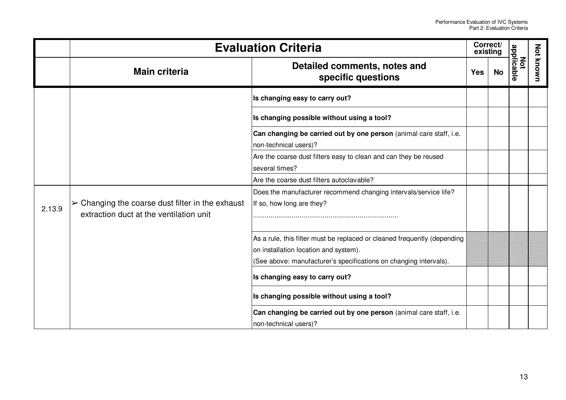|        | <b>Evaluation Criteria</b>                                                                                 |                                                                                                                                                                                        |            | Correct/<br>existing |                   |                  |
|--------|------------------------------------------------------------------------------------------------------------|----------------------------------------------------------------------------------------------------------------------------------------------------------------------------------------|------------|----------------------|-------------------|------------------|
|        | <b>Main criteria</b>                                                                                       | Detailed comments, notes and<br>specific questions                                                                                                                                     | <b>Yes</b> | <b>No</b>            | applicable<br>Not | <b>Not known</b> |
|        |                                                                                                            | Is changing easy to carry out?                                                                                                                                                         |            |                      |                   |                  |
|        |                                                                                                            | Is changing possible without using a tool?                                                                                                                                             |            |                      |                   |                  |
|        |                                                                                                            | Can changing be carried out by one person (animal care staff, i.e.<br>non-technical users)?                                                                                            |            |                      |                   |                  |
|        |                                                                                                            | Are the coarse dust filters easy to clean and can they be reused<br>several times?                                                                                                     |            |                      |                   |                  |
|        |                                                                                                            | Are the coarse dust filters autoclavable?                                                                                                                                              |            |                      |                   |                  |
| 2.13.9 | $\triangleright$ Changing the coarse dust filter in the exhaust<br>extraction duct at the ventilation unit | Does the manufacturer recommend changing intervals/service life?<br>If so, how long are they?                                                                                          |            |                      |                   |                  |
|        |                                                                                                            | As a rule, this filter must be replaced or cleaned frequently (depending<br>on installation location and system).<br>(See above: manufacturer's specifications on changing intervals). |            |                      |                   |                  |
|        |                                                                                                            | Is changing easy to carry out?                                                                                                                                                         |            |                      |                   |                  |
|        |                                                                                                            | Is changing possible without using a tool?                                                                                                                                             |            |                      |                   |                  |
|        |                                                                                                            | Can changing be carried out by one person (animal care staff, i.e.<br>non-technical users)?                                                                                            |            |                      |                   |                  |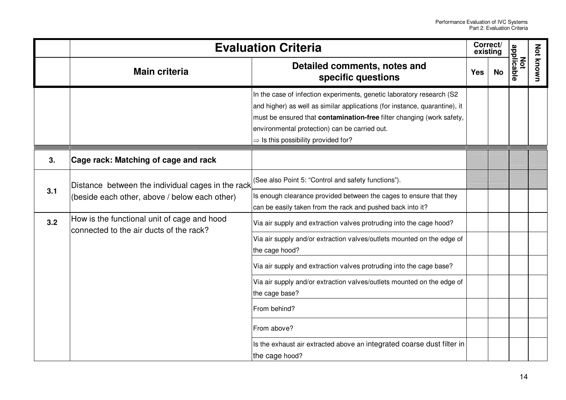|     | <b>Evaluation Criteria</b>                                                                         |                                                                                                                                                                                                                                                                                                                                         |            | Correct/<br>existing |                   |                  |
|-----|----------------------------------------------------------------------------------------------------|-----------------------------------------------------------------------------------------------------------------------------------------------------------------------------------------------------------------------------------------------------------------------------------------------------------------------------------------|------------|----------------------|-------------------|------------------|
|     | <b>Main criteria</b>                                                                               | Detailed comments, notes and<br>specific questions                                                                                                                                                                                                                                                                                      | <b>Yes</b> | <b>No</b>            | Not<br>applicable | <b>Not known</b> |
|     |                                                                                                    | In the case of infection experiments, genetic laboratory research (S2<br>and higher) as well as similar applications (for instance, quarantine), it<br>must be ensured that <b>contamination-free</b> filter changing (work safety,<br>environmental protection) can be carried out.<br>$\Rightarrow$ Is this possibility provided for? |            |                      |                   |                  |
| 3.  | Cage rack: Matching of cage and rack                                                               |                                                                                                                                                                                                                                                                                                                                         |            |                      |                   |                  |
| 3.1 | Distance between the individual cages in the rack<br>(beside each other, above / below each other) | (See also Point 5: "Control and safety functions").<br>Is enough clearance provided between the cages to ensure that they<br>can be easily taken from the rack and pushed back into it?                                                                                                                                                 |            |                      |                   |                  |
| 3.2 | How is the functional unit of cage and hood<br>connected to the air ducts of the rack?             | Via air supply and extraction valves protruding into the cage hood?<br>Via air supply and/or extraction valves/outlets mounted on the edge of<br>the cage hood?                                                                                                                                                                         |            |                      |                   |                  |
|     |                                                                                                    | Via air supply and extraction valves protruding into the cage base?                                                                                                                                                                                                                                                                     |            |                      |                   |                  |
|     |                                                                                                    | Via air supply and/or extraction valves/outlets mounted on the edge of<br>the cage base?                                                                                                                                                                                                                                                |            |                      |                   |                  |
|     |                                                                                                    | From behind?                                                                                                                                                                                                                                                                                                                            |            |                      |                   |                  |
|     |                                                                                                    | From above?                                                                                                                                                                                                                                                                                                                             |            |                      |                   |                  |
|     |                                                                                                    | Is the exhaust air extracted above an integrated coarse dust filter in<br>the cage hood?                                                                                                                                                                                                                                                |            |                      |                   |                  |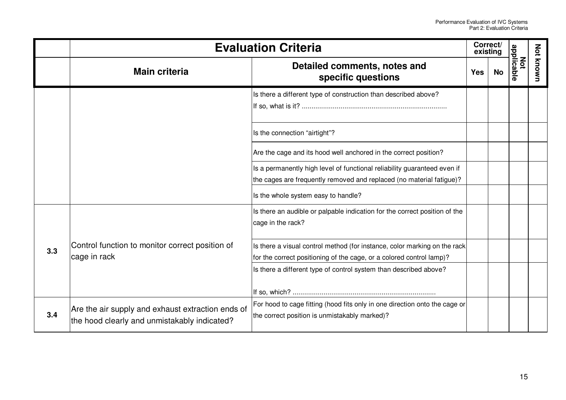|     |                                                                                                   | <b>Evaluation Criteria</b>                                                                                                                        | Correct/<br>existing |           |                   |                  |
|-----|---------------------------------------------------------------------------------------------------|---------------------------------------------------------------------------------------------------------------------------------------------------|----------------------|-----------|-------------------|------------------|
|     | <b>Main criteria</b>                                                                              | Detailed comments, notes and<br>specific questions                                                                                                | <b>Yes</b>           | <b>No</b> | applicable<br>Not | <b>Not known</b> |
|     |                                                                                                   | Is there a different type of construction than described above?                                                                                   |                      |           |                   |                  |
|     |                                                                                                   | Is the connection "airtight"?                                                                                                                     |                      |           |                   |                  |
|     |                                                                                                   | Are the cage and its hood well anchored in the correct position?                                                                                  |                      |           |                   |                  |
|     |                                                                                                   | Is a permanently high level of functional reliability guaranteed even if<br>the cages are frequently removed and replaced (no material fatigue)?  |                      |           |                   |                  |
|     |                                                                                                   | Is the whole system easy to handle?                                                                                                               |                      |           |                   |                  |
|     | Control function to monitor correct position of<br>cage in rack                                   | Is there an audible or palpable indication for the correct position of the<br>cage in the rack?                                                   |                      |           |                   |                  |
| 3.3 |                                                                                                   | Is there a visual control method (for instance, color marking on the rack<br>for the correct positioning of the cage, or a colored control lamp)? |                      |           |                   |                  |
|     |                                                                                                   | Is there a different type of control system than described above?                                                                                 |                      |           |                   |                  |
|     |                                                                                                   | For hood to cage fitting (hood fits only in one direction onto the cage or                                                                        |                      |           |                   |                  |
| 3.4 | Are the air supply and exhaust extraction ends of<br>the hood clearly and unmistakably indicated? | the correct position is unmistakably marked)?                                                                                                     |                      |           |                   |                  |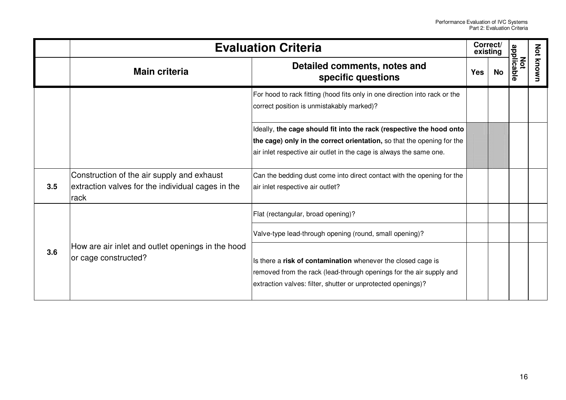|     | <b>Evaluation Criteria</b>                                                                              |                                                                                                                                                                                                                       |            | Correct/<br>existing |                   |                  |
|-----|---------------------------------------------------------------------------------------------------------|-----------------------------------------------------------------------------------------------------------------------------------------------------------------------------------------------------------------------|------------|----------------------|-------------------|------------------|
|     | <b>Main criteria</b>                                                                                    | Detailed comments, notes and<br>specific questions                                                                                                                                                                    | <b>Yes</b> | <b>No</b>            | applicable<br>Not | <b>Not known</b> |
|     |                                                                                                         | For hood to rack fitting (hood fits only in one direction into rack or the<br>correct position is unmistakably marked)?                                                                                               |            |                      |                   |                  |
|     |                                                                                                         | Ideally, the cage should fit into the rack (respective the hood onto<br>the cage) only in the correct orientation, so that the opening for the<br>air inlet respective air outlet in the cage is always the same one. |            |                      |                   |                  |
| 3.5 | Construction of the air supply and exhaust<br>extraction valves for the individual cages in the<br>rack | Can the bedding dust come into direct contact with the opening for the<br>air inlet respective air outlet?                                                                                                            |            |                      |                   |                  |
|     |                                                                                                         | Flat (rectangular, broad opening)?                                                                                                                                                                                    |            |                      |                   |                  |
|     |                                                                                                         | Valve-type lead-through opening (round, small opening)?                                                                                                                                                               |            |                      |                   |                  |
| 3.6 | How are air inlet and outlet openings in the hood<br>or cage constructed?                               | Is there a risk of contamination whenever the closed cage is<br>removed from the rack (lead-through openings for the air supply and<br>extraction valves: filter, shutter or unprotected openings)?                   |            |                      |                   |                  |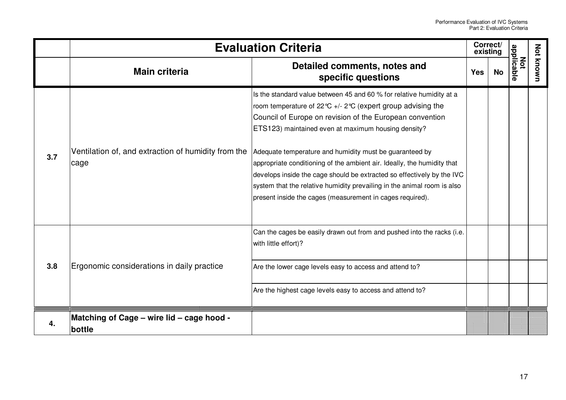|     |                                                             | <b>Evaluation Criteria</b>                                                                                                                                                                                                                                                                                                                                                                                                                                                                                                                                                                                       | Correct/<br>existing |    |                   |                  |
|-----|-------------------------------------------------------------|------------------------------------------------------------------------------------------------------------------------------------------------------------------------------------------------------------------------------------------------------------------------------------------------------------------------------------------------------------------------------------------------------------------------------------------------------------------------------------------------------------------------------------------------------------------------------------------------------------------|----------------------|----|-------------------|------------------|
|     | <b>Main criteria</b>                                        | Detailed comments, notes and<br>specific questions                                                                                                                                                                                                                                                                                                                                                                                                                                                                                                                                                               | <b>Yes</b>           | No | applicable<br>Not | <b>Not known</b> |
| 3.7 | Ventilation of, and extraction of humidity from the<br>cage | Is the standard value between 45 and 60 % for relative humidity at a<br>room temperature of 22 °C +/- 2 °C (expert group advising the<br>Council of Europe on revision of the European convention<br>ETS123) maintained even at maximum housing density?<br>Adequate temperature and humidity must be guaranteed by<br>appropriate conditioning of the ambient air. Ideally, the humidity that<br>develops inside the cage should be extracted so effectively by the IVC<br>system that the relative humidity prevailing in the animal room is also<br>present inside the cages (measurement in cages required). |                      |    |                   |                  |
| 3.8 |                                                             | Can the cages be easily drawn out from and pushed into the racks (i.e.<br>with little effort)?                                                                                                                                                                                                                                                                                                                                                                                                                                                                                                                   |                      |    |                   |                  |
|     | Ergonomic considerations in daily practice                  | Are the lower cage levels easy to access and attend to?                                                                                                                                                                                                                                                                                                                                                                                                                                                                                                                                                          |                      |    |                   |                  |
|     |                                                             | Are the highest cage levels easy to access and attend to?                                                                                                                                                                                                                                                                                                                                                                                                                                                                                                                                                        |                      |    |                   |                  |
| 4.  | Matching of Cage - wire lid - cage hood -<br>bottle         |                                                                                                                                                                                                                                                                                                                                                                                                                                                                                                                                                                                                                  |                      |    |                   |                  |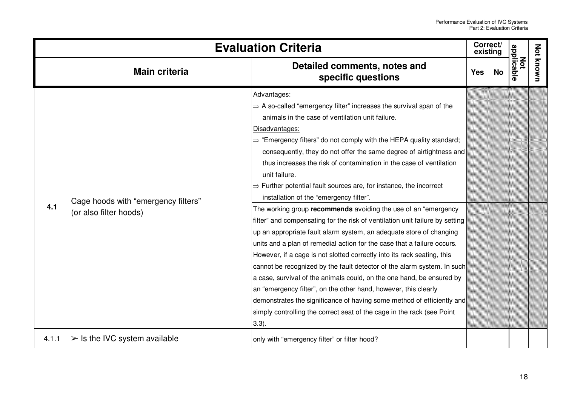|       |                                                               | <b>Evaluation Criteria</b>                                                                                                                                                                                                                                                                                                                                                                                                                                                                                                                                                                                                                                                                                                                                                                                                                                                                                                                                                                                                                                                                                                                                                                                                                                                                                               | Correct/<br>existing |    |                   |           |
|-------|---------------------------------------------------------------|--------------------------------------------------------------------------------------------------------------------------------------------------------------------------------------------------------------------------------------------------------------------------------------------------------------------------------------------------------------------------------------------------------------------------------------------------------------------------------------------------------------------------------------------------------------------------------------------------------------------------------------------------------------------------------------------------------------------------------------------------------------------------------------------------------------------------------------------------------------------------------------------------------------------------------------------------------------------------------------------------------------------------------------------------------------------------------------------------------------------------------------------------------------------------------------------------------------------------------------------------------------------------------------------------------------------------|----------------------|----|-------------------|-----------|
|       | <b>Main criteria</b>                                          | Detailed comments, notes and<br>specific questions                                                                                                                                                                                                                                                                                                                                                                                                                                                                                                                                                                                                                                                                                                                                                                                                                                                                                                                                                                                                                                                                                                                                                                                                                                                                       | <b>Yes</b>           | No | applicable<br>χόt | Not known |
| 4.1   | Cage hoods with "emergency filters"<br>(or also filter hoods) | Advantages:<br>$\Rightarrow$ A so-called "emergency filter" increases the survival span of the<br>animals in the case of ventilation unit failure.<br>Disadvantages:<br>$\Rightarrow$ "Emergency filters" do not comply with the HEPA quality standard;<br>consequently, they do not offer the same degree of airtightness and<br>thus increases the risk of contamination in the case of ventilation<br>unit failure.<br>$\Rightarrow$ Further potential fault sources are, for instance, the incorrect<br>installation of the "emergency filter".<br>The working group recommends avoiding the use of an "emergency"<br>filter" and compensating for the risk of ventilation unit failure by setting<br>up an appropriate fault alarm system, an adequate store of changing<br>units and a plan of remedial action for the case that a failure occurs.<br>However, if a cage is not slotted correctly into its rack seating, this<br>cannot be recognized by the fault detector of the alarm system. In such<br>a case, survival of the animals could, on the one hand, be ensured by<br>an "emergency filter", on the other hand, however, this clearly<br>demonstrates the significance of having some method of efficiently and<br>simply controlling the correct seat of the cage in the rack (see Point<br>(3.3). |                      |    |                   |           |
| 4.1.1 | $\triangleright$ Is the IVC system available                  | only with "emergency filter" or filter hood?                                                                                                                                                                                                                                                                                                                                                                                                                                                                                                                                                                                                                                                                                                                                                                                                                                                                                                                                                                                                                                                                                                                                                                                                                                                                             |                      |    |                   |           |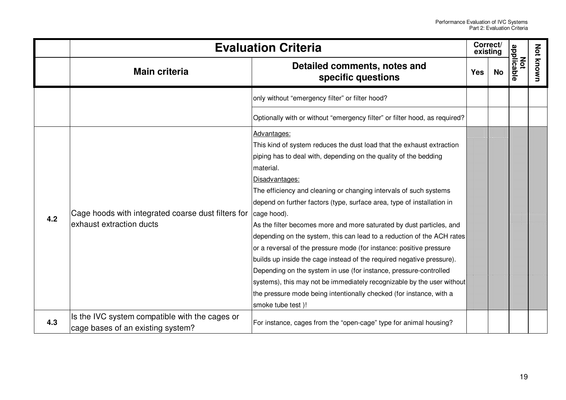|     | <b>Evaluation Criteria</b>                                                          |                                                                                                                                                                                                                                                                                                                                                                                                                                                                                                                                                                                                                                                                                                                                                                                                                                                                                                    |            | Correct/<br>existing |                   |                  |
|-----|-------------------------------------------------------------------------------------|----------------------------------------------------------------------------------------------------------------------------------------------------------------------------------------------------------------------------------------------------------------------------------------------------------------------------------------------------------------------------------------------------------------------------------------------------------------------------------------------------------------------------------------------------------------------------------------------------------------------------------------------------------------------------------------------------------------------------------------------------------------------------------------------------------------------------------------------------------------------------------------------------|------------|----------------------|-------------------|------------------|
|     | <b>Main criteria</b>                                                                | Detailed comments, notes and<br>specific questions                                                                                                                                                                                                                                                                                                                                                                                                                                                                                                                                                                                                                                                                                                                                                                                                                                                 | <b>Yes</b> | No                   | Not<br>applicable | <b>Not known</b> |
|     |                                                                                     | only without "emergency filter" or filter hood?                                                                                                                                                                                                                                                                                                                                                                                                                                                                                                                                                                                                                                                                                                                                                                                                                                                    |            |                      |                   |                  |
|     |                                                                                     | Optionally with or without "emergency filter" or filter hood, as required?                                                                                                                                                                                                                                                                                                                                                                                                                                                                                                                                                                                                                                                                                                                                                                                                                         |            |                      |                   |                  |
| 4.2 | Cage hoods with integrated coarse dust filters for<br>exhaust extraction ducts      | Advantages:<br>This kind of system reduces the dust load that the exhaust extraction<br>piping has to deal with, depending on the quality of the bedding<br>material.<br>Disadvantages:<br>The efficiency and cleaning or changing intervals of such systems<br>depend on further factors (type, surface area, type of installation in<br>cage hood).<br>As the filter becomes more and more saturated by dust particles, and<br>depending on the system, this can lead to a reduction of the ACH rates<br>or a reversal of the pressure mode (for instance: positive pressure<br>builds up inside the cage instead of the required negative pressure).<br>Depending on the system in use (for instance, pressure-controlled<br>systems), this may not be immediately recognizable by the user without<br>the pressure mode being intentionally checked (for instance, with a<br>smoke tube test)! |            |                      |                   |                  |
| 4.3 | Is the IVC system compatible with the cages or<br>cage bases of an existing system? | For instance, cages from the "open-cage" type for animal housing?                                                                                                                                                                                                                                                                                                                                                                                                                                                                                                                                                                                                                                                                                                                                                                                                                                  |            |                      |                   |                  |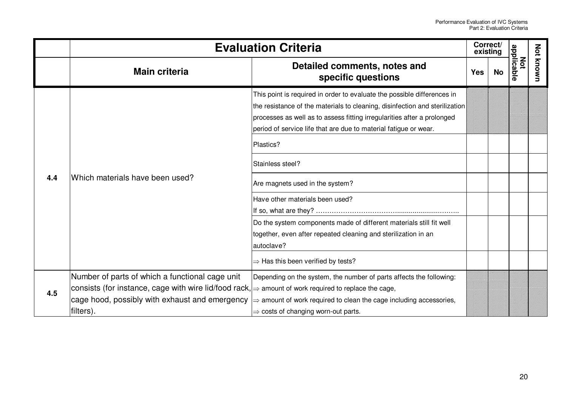|     |                                                                                                                                                                                                                                    | <b>Evaluation Criteria</b>                                                                                                                                                                                                                                                                                                                                                                                                                                                                                                                                                                                            | Correct/<br>existing |           |                   |                  |
|-----|------------------------------------------------------------------------------------------------------------------------------------------------------------------------------------------------------------------------------------|-----------------------------------------------------------------------------------------------------------------------------------------------------------------------------------------------------------------------------------------------------------------------------------------------------------------------------------------------------------------------------------------------------------------------------------------------------------------------------------------------------------------------------------------------------------------------------------------------------------------------|----------------------|-----------|-------------------|------------------|
|     | <b>Main criteria</b>                                                                                                                                                                                                               | Detailed comments, notes and<br>specific questions                                                                                                                                                                                                                                                                                                                                                                                                                                                                                                                                                                    | <b>Yes</b>           | <b>No</b> | Not<br>applicable | <b>Not known</b> |
| 4.4 | Which materials have been used?                                                                                                                                                                                                    | This point is required in order to evaluate the possible differences in<br>the resistance of the materials to cleaning, disinfection and sterilization<br>processes as well as to assess fitting irregularities after a prolonged<br>period of service life that are due to material fatigue or wear.<br>Plastics?<br>Stainless steel?<br>Are magnets used in the system?<br>Have other materials been used?<br>Do the system components made of different materials still fit well<br>together, even after repeated cleaning and sterilization in an<br>autoclave?<br>$\Rightarrow$ Has this been verified by tests? |                      |           |                   |                  |
| 4.5 | Number of parts of which a functional cage unit<br>consists (for instance, cage with wire lid/food rack, $\Rightarrow$ amount of work required to replace the cage,<br>cage hood, possibly with exhaust and emergency<br>filters). | Depending on the system, the number of parts affects the following:<br>$\Rightarrow$ amount of work required to clean the cage including accessories,<br>$\Rightarrow$ costs of changing worn-out parts.                                                                                                                                                                                                                                                                                                                                                                                                              |                      |           |                   |                  |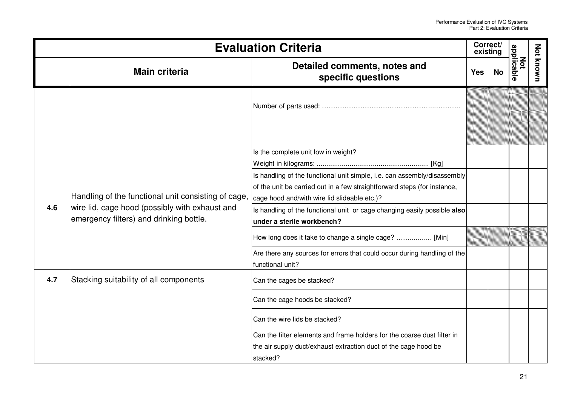|     |                                                                                                                                                 | <b>Evaluation Criteria</b>                                                                                                                                                                                                                                                                                                                                                                                                                                                                                     | Correct/<br>existing |    |                          |                  |
|-----|-------------------------------------------------------------------------------------------------------------------------------------------------|----------------------------------------------------------------------------------------------------------------------------------------------------------------------------------------------------------------------------------------------------------------------------------------------------------------------------------------------------------------------------------------------------------------------------------------------------------------------------------------------------------------|----------------------|----|--------------------------|------------------|
|     | <b>Main criteria</b>                                                                                                                            | Detailed comments, notes and<br>specific questions                                                                                                                                                                                                                                                                                                                                                                                                                                                             | <b>Yes</b>           | No | applicable<br><b>Not</b> | <b>Not known</b> |
|     |                                                                                                                                                 |                                                                                                                                                                                                                                                                                                                                                                                                                                                                                                                |                      |    |                          |                  |
| 4.6 | Handling of the functional unit consisting of cage<br>wire lid, cage hood (possibly with exhaust and<br>emergency filters) and drinking bottle. | Is the complete unit low in weight?<br>Is handling of the functional unit simple, i.e. can assembly/disassembly<br>of the unit be carried out in a few straightforward steps (for instance,<br>cage hood and/with wire lid slideable etc.)?<br>Is handling of the functional unit or cage changing easily possible also<br>under a sterile workbench?<br>How long does it take to change a single cage?  [Min]<br>Are there any sources for errors that could occur during handling of the<br>functional unit? |                      |    |                          |                  |
| 4.7 | Stacking suitability of all components                                                                                                          | Can the cages be stacked?<br>Can the cage hoods be stacked?<br>Can the wire lids be stacked?<br>Can the filter elements and frame holders for the coarse dust filter in<br>the air supply duct/exhaust extraction duct of the cage hood be<br>stacked?                                                                                                                                                                                                                                                         |                      |    |                          |                  |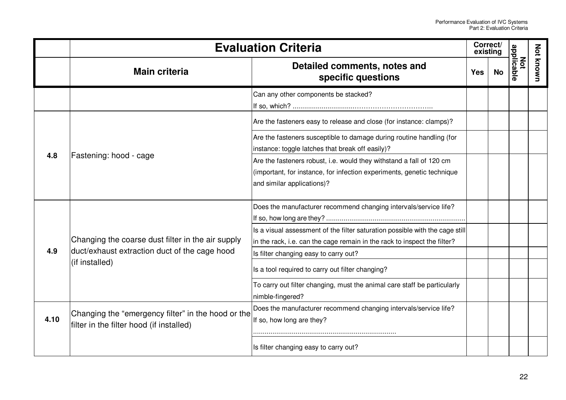|      |                                                                                                | <b>Evaluation Criteria</b>                                                                                               | Correct/<br>existing |           |                   |           |
|------|------------------------------------------------------------------------------------------------|--------------------------------------------------------------------------------------------------------------------------|----------------------|-----------|-------------------|-----------|
|      | <b>Main criteria</b>                                                                           | Detailed comments, notes and<br>specific questions                                                                       | <b>Yes</b>           | <b>No</b> | applicable<br>Not | Not known |
|      |                                                                                                | Can any other components be stacked?                                                                                     |                      |           |                   |           |
|      |                                                                                                | Are the fasteners easy to release and close (for instance: clamps)?                                                      |                      |           |                   |           |
|      | Fastening: hood - cage                                                                         | Are the fasteners susceptible to damage during routine handling (for<br>instance: toggle latches that break off easily)? |                      |           |                   |           |
| 4.8  |                                                                                                | Are the fasteners robust, i.e. would they withstand a fall of 120 cm                                                     |                      |           |                   |           |
|      |                                                                                                | (important, for instance, for infection experiments, genetic technique                                                   |                      |           |                   |           |
|      |                                                                                                | and similar applications)?                                                                                               |                      |           |                   |           |
|      |                                                                                                | Does the manufacturer recommend changing intervals/service life?                                                         |                      |           |                   |           |
|      |                                                                                                |                                                                                                                          |                      |           |                   |           |
|      |                                                                                                | Is a visual assessment of the filter saturation possible with the cage still                                             |                      |           |                   |           |
|      | Changing the coarse dust filter in the air supply                                              | in the rack, i.e. can the cage remain in the rack to inspect the filter?                                                 |                      |           |                   |           |
| 4.9  | duct/exhaust extraction duct of the cage hood                                                  | Is filter changing easy to carry out?                                                                                    |                      |           |                   |           |
|      | (if installed)                                                                                 | Is a tool required to carry out filter changing?                                                                         |                      |           |                   |           |
|      |                                                                                                | To carry out filter changing, must the animal care staff be particularly                                                 |                      |           |                   |           |
|      |                                                                                                | nimble-fingered?                                                                                                         |                      |           |                   |           |
| 4.10 | Changing the "emergency filter" in the hood or the<br>filter in the filter hood (if installed) | Does the manufacturer recommend changing intervals/service life?<br>If so, how long are they?                            |                      |           |                   |           |
|      |                                                                                                |                                                                                                                          |                      |           |                   |           |
|      |                                                                                                | Is filter changing easy to carry out?                                                                                    |                      |           |                   |           |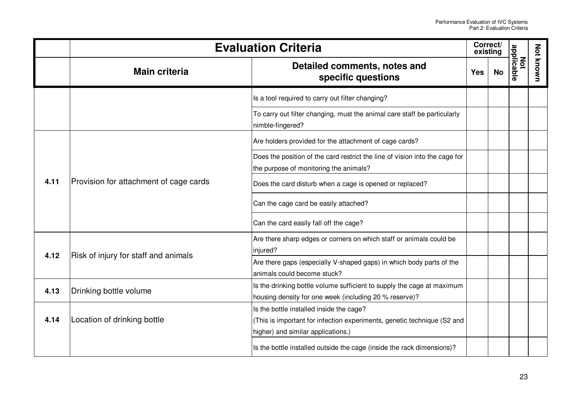|      |                                        | <b>Evaluation Criteria</b>                                                                                                                                | Correct/<br>existing |           |                   |           |
|------|----------------------------------------|-----------------------------------------------------------------------------------------------------------------------------------------------------------|----------------------|-----------|-------------------|-----------|
|      | <b>Main criteria</b>                   | Detailed comments, notes and<br>specific questions                                                                                                        | <b>Yes</b>           | <b>No</b> | applicable<br>Not | Not known |
|      |                                        | Is a tool required to carry out filter changing?                                                                                                          |                      |           |                   |           |
|      |                                        | To carry out filter changing, must the animal care staff be particularly<br>nimble-fingered?                                                              |                      |           |                   |           |
| 4.11 |                                        | Are holders provided for the attachment of cage cards?                                                                                                    |                      |           |                   |           |
|      |                                        | Does the position of the card restrict the line of vision into the cage for<br>the purpose of monitoring the animals?                                     |                      |           |                   |           |
|      | Provision for attachment of cage cards | Does the card disturb when a cage is opened or replaced?                                                                                                  |                      |           |                   |           |
|      |                                        | Can the cage card be easily attached?                                                                                                                     |                      |           |                   |           |
|      |                                        | Can the card easily fall off the cage?                                                                                                                    |                      |           |                   |           |
| 4.12 |                                        | Are there sharp edges or corners on which staff or animals could be<br>injured?                                                                           |                      |           |                   |           |
|      | Risk of injury for staff and animals   | Are there gaps (especially V-shaped gaps) in which body parts of the<br>animals could become stuck?                                                       |                      |           |                   |           |
| 4.13 | Drinking bottle volume                 | Is the drinking bottle volume sufficient to supply the cage at maximum<br>housing density for one week (including 20 % reserve)?                          |                      |           |                   |           |
| 4.14 | Location of drinking bottle            | Is the bottle installed inside the cage?<br>(This is important for infection experiments, genetic technique (S2 and<br>higher) and similar applications.) |                      |           |                   |           |
|      |                                        | Is the bottle installed outside the cage (inside the rack dimensions)?                                                                                    |                      |           |                   |           |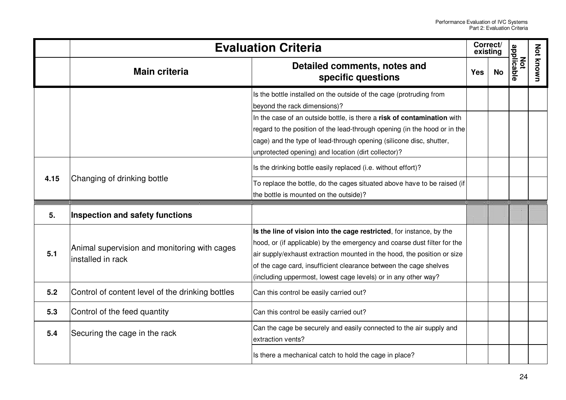|      |                                                                   | <b>Evaluation Criteria</b>                                                                                                                                                                                                                                                                                                                                         | Correct/<br>existing |           |                   |           |
|------|-------------------------------------------------------------------|--------------------------------------------------------------------------------------------------------------------------------------------------------------------------------------------------------------------------------------------------------------------------------------------------------------------------------------------------------------------|----------------------|-----------|-------------------|-----------|
|      | <b>Main criteria</b>                                              | Detailed comments, notes and<br>specific questions                                                                                                                                                                                                                                                                                                                 | <b>Yes</b>           | <b>No</b> | applicable<br>Not | Not known |
|      |                                                                   | Is the bottle installed on the outside of the cage (protruding from<br>beyond the rack dimensions)?                                                                                                                                                                                                                                                                |                      |           |                   |           |
|      |                                                                   | In the case of an outside bottle, is there a risk of contamination with<br>regard to the position of the lead-through opening (in the hood or in the<br>cage) and the type of lead-through opening (silicone disc, shutter,<br>unprotected opening) and location (dirt collector)?                                                                                 |                      |           |                   |           |
| 4.15 |                                                                   | Is the drinking bottle easily replaced (i.e. without effort)?                                                                                                                                                                                                                                                                                                      |                      |           |                   |           |
|      | Changing of drinking bottle                                       | To replace the bottle, do the cages situated above have to be raised (if<br>the bottle is mounted on the outside)?                                                                                                                                                                                                                                                 |                      |           |                   |           |
| 5.   | Inspection and safety functions                                   |                                                                                                                                                                                                                                                                                                                                                                    |                      |           |                   |           |
| 5.1  | Animal supervision and monitoring with cages<br>installed in rack | Is the line of vision into the cage restricted, for instance, by the<br>hood, or (if applicable) by the emergency and coarse dust filter for the<br>air supply/exhaust extraction mounted in the hood, the position or size<br>of the cage card, insufficient clearance between the cage shelves<br>(including uppermost, lowest cage levels) or in any other way? |                      |           |                   |           |
| 5.2  | Control of content level of the drinking bottles                  | Can this control be easily carried out?                                                                                                                                                                                                                                                                                                                            |                      |           |                   |           |
| 5.3  | Control of the feed quantity                                      | Can this control be easily carried out?                                                                                                                                                                                                                                                                                                                            |                      |           |                   |           |
| 5.4  | Securing the cage in the rack                                     | Can the cage be securely and easily connected to the air supply and<br>extraction vents?                                                                                                                                                                                                                                                                           |                      |           |                   |           |
|      |                                                                   | Is there a mechanical catch to hold the cage in place?                                                                                                                                                                                                                                                                                                             |                      |           |                   |           |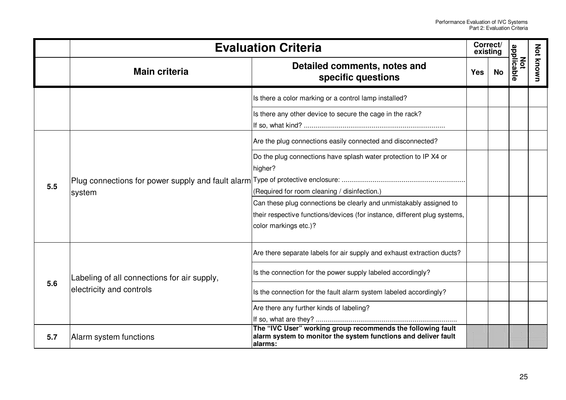|     | <b>Evaluation Criteria</b>                  |                                                                                                                                                                          |            | Correct/<br>existing |                   |           |
|-----|---------------------------------------------|--------------------------------------------------------------------------------------------------------------------------------------------------------------------------|------------|----------------------|-------------------|-----------|
|     | <b>Main criteria</b>                        | Detailed comments, notes and<br>specific questions                                                                                                                       | <b>Yes</b> | <b>No</b>            | applicable<br>Μoτ | Not known |
|     |                                             | Is there a color marking or a control lamp installed?                                                                                                                    |            |                      |                   |           |
|     |                                             | Is there any other device to secure the cage in the rack?                                                                                                                |            |                      |                   |           |
|     | system                                      | Are the plug connections easily connected and disconnected?                                                                                                              |            |                      |                   |           |
| 5.5 |                                             | Do the plug connections have splash water protection to IP X4 or<br>higher?                                                                                              |            |                      |                   |           |
|     |                                             | (Required for room cleaning / disinfection.)                                                                                                                             |            |                      |                   |           |
|     |                                             | Can these plug connections be clearly and unmistakably assigned to<br>their respective functions/devices (for instance, different plug systems,<br>color markings etc.)? |            |                      |                   |           |
|     |                                             | Are there separate labels for air supply and exhaust extraction ducts?                                                                                                   |            |                      |                   |           |
|     | Labeling of all connections for air supply, | Is the connection for the power supply labeled accordingly?                                                                                                              |            |                      |                   |           |
| 5.6 | electricity and controls                    | Is the connection for the fault alarm system labeled accordingly?                                                                                                        |            |                      |                   |           |
|     |                                             | Are there any further kinds of labeling?                                                                                                                                 |            |                      |                   |           |
| 5.7 | Alarm system functions                      | The "IVC User" working group recommends the following fault<br>alarm system to monitor the system functions and deliver fault<br>alarms:                                 |            |                      |                   |           |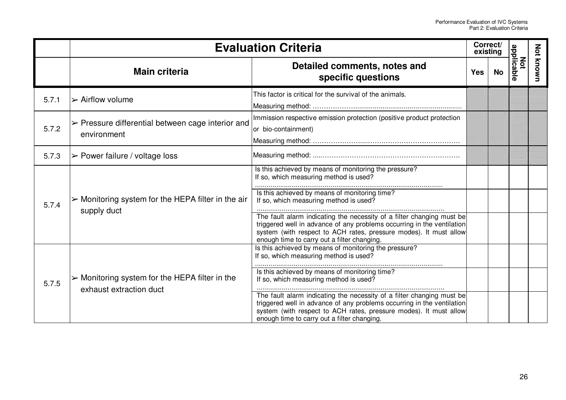|       |                                                                                          | <b>Evaluation Criteria</b>                                                                                                                                                                                                                                                                                                                                                                                                                                        | Correct/<br>existing |           |                   |           |
|-------|------------------------------------------------------------------------------------------|-------------------------------------------------------------------------------------------------------------------------------------------------------------------------------------------------------------------------------------------------------------------------------------------------------------------------------------------------------------------------------------------------------------------------------------------------------------------|----------------------|-----------|-------------------|-----------|
|       | <b>Main criteria</b>                                                                     | Detailed comments, notes and<br>specific questions                                                                                                                                                                                                                                                                                                                                                                                                                | <b>Yes</b>           | <b>No</b> | applicable<br>Not | Not known |
| 5.7.1 | $\triangleright$ Airflow volume                                                          | This factor is critical for the survival of the animals.                                                                                                                                                                                                                                                                                                                                                                                                          |                      |           |                   |           |
| 5.7.2 | $\triangleright$ Pressure differential between cage interior and<br>environment          | Immission respective emission protection (positive product protection<br>or bio-containment)                                                                                                                                                                                                                                                                                                                                                                      |                      |           |                   |           |
| 5.7.3 | $\triangleright$ Power failure / voltage loss                                            |                                                                                                                                                                                                                                                                                                                                                                                                                                                                   |                      |           |                   |           |
| 5.7.4 | $\triangleright$ Monitoring system for the HEPA filter in the air<br>supply duct         | Is this achieved by means of monitoring the pressure?<br>If so, which measuring method is used?<br>Is this achieved by means of monitoring time?<br>If so, which measuring method is used?<br>The fault alarm indicating the necessity of a filter changing must be<br>triggered well in advance of any problems occurring in the ventilation<br>system (with respect to ACH rates, pressure modes). It must allow<br>enough time to carry out a filter changing. |                      |           |                   |           |
| 5.7.5 | $\triangleright$ Monitoring system for the HEPA filter in the<br>exhaust extraction duct | Is this achieved by means of monitoring the pressure?<br>If so, which measuring method is used?<br>Is this achieved by means of monitoring time?<br>If so, which measuring method is used?<br>The fault alarm indicating the necessity of a filter changing must be<br>triggered well in advance of any problems occurring in the ventilation<br>system (with respect to ACH rates, pressure modes). It must allow<br>enough time to carry out a filter changing. |                      |           |                   |           |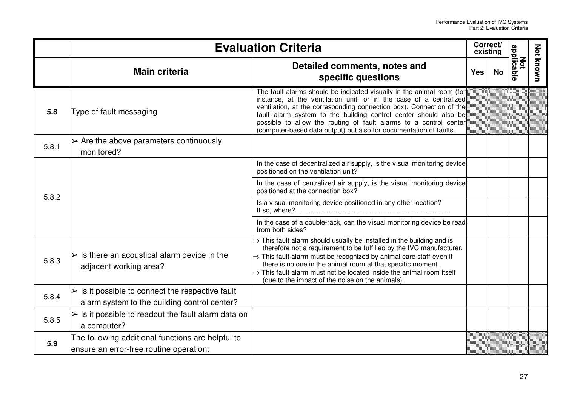|       |                                                                                                                 | <b>Evaluation Criteria</b>                                                                                                                                                                                                                                                                                                                                                                                                                         | Correct/<br>existing |           |                   |           |
|-------|-----------------------------------------------------------------------------------------------------------------|----------------------------------------------------------------------------------------------------------------------------------------------------------------------------------------------------------------------------------------------------------------------------------------------------------------------------------------------------------------------------------------------------------------------------------------------------|----------------------|-----------|-------------------|-----------|
|       | <b>Main criteria</b>                                                                                            | Detailed comments, notes and<br>specific questions                                                                                                                                                                                                                                                                                                                                                                                                 | <b>Yes</b>           | <b>No</b> | applicable<br>Not | Not known |
| 5.8   | Type of fault messaging                                                                                         | The fault alarms should be indicated visually in the animal room (for<br>instance, at the ventilation unit, or in the case of a centralized<br>ventilation, at the corresponding connection box). Connection of the<br>fault alarm system to the building control center should also be<br>possible to allow the routing of fault alarms to a control center<br>(computer-based data output) but also for documentation of faults.                 |                      |           |                   |           |
| 5.8.1 | $\triangleright$ Are the above parameters continuously<br>monitored?                                            |                                                                                                                                                                                                                                                                                                                                                                                                                                                    |                      |           |                   |           |
|       |                                                                                                                 | In the case of decentralized air supply, is the visual monitoring device<br>positioned on the ventilation unit?                                                                                                                                                                                                                                                                                                                                    |                      |           |                   |           |
| 5.8.2 |                                                                                                                 | In the case of centralized air supply, is the visual monitoring device<br>positioned at the connection box?                                                                                                                                                                                                                                                                                                                                        |                      |           |                   |           |
|       |                                                                                                                 | Is a visual monitoring device positioned in any other location?                                                                                                                                                                                                                                                                                                                                                                                    |                      |           |                   |           |
|       |                                                                                                                 | In the case of a double-rack, can the visual monitoring device be read<br>from both sides?                                                                                                                                                                                                                                                                                                                                                         |                      |           |                   |           |
| 5.8.3 | $\ge$ Is there an acoustical alarm device in the<br>adjacent working area?                                      | $\Rightarrow$ This fault alarm should usually be installed in the building and is<br>therefore not a requirement to be fulfilled by the IVC manufacturer.<br>$\Rightarrow$ This fault alarm must be recognized by animal care staff even if<br>there is no one in the animal room at that specific moment.<br>$\Rightarrow$ This fault alarm must not be located inside the animal room itself<br>(due to the impact of the noise on the animals). |                      |           |                   |           |
| 5.8.4 | $\triangleright$ Is it possible to connect the respective fault<br>alarm system to the building control center? |                                                                                                                                                                                                                                                                                                                                                                                                                                                    |                      |           |                   |           |
| 5.8.5 | $\triangleright$ Is it possible to readout the fault alarm data on<br>a computer?                               |                                                                                                                                                                                                                                                                                                                                                                                                                                                    |                      |           |                   |           |
| 5.9   | The following additional functions are helpful to<br>ensure an error-free routine operation:                    |                                                                                                                                                                                                                                                                                                                                                                                                                                                    |                      |           |                   |           |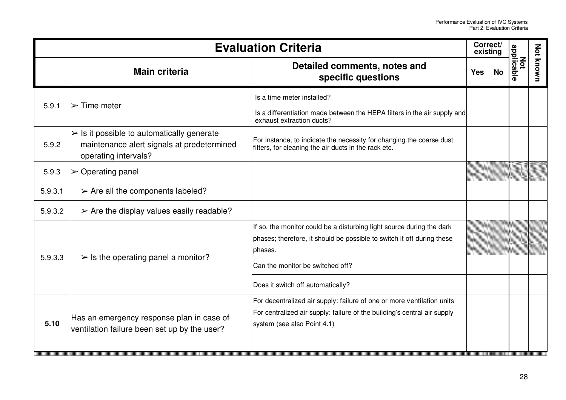|         | <b>Evaluation Criteria</b>                                                                                                      |                                                                                                                                                                                                                                     | Correct/<br>existing |           |                   |           |
|---------|---------------------------------------------------------------------------------------------------------------------------------|-------------------------------------------------------------------------------------------------------------------------------------------------------------------------------------------------------------------------------------|----------------------|-----------|-------------------|-----------|
|         | <b>Main criteria</b>                                                                                                            | Detailed comments, notes and<br>specific questions                                                                                                                                                                                  | <b>Yes</b>           | <b>No</b> | applicable<br>Νot | Not known |
| 5.9.1   | $\triangleright$ Time meter                                                                                                     | Is a time meter installed?<br>Is a differentiation made between the HEPA filters in the air supply and<br>exhaust extraction ducts?                                                                                                 |                      |           |                   |           |
| 5.9.2   | $\triangleright$ Is it possible to automatically generate<br>maintenance alert signals at predetermined<br>operating intervals? | For instance, to indicate the necessity for changing the coarse dust<br>filters, for cleaning the air ducts in the rack etc.                                                                                                        |                      |           |                   |           |
| 5.9.3   | $\triangleright$ Operating panel                                                                                                |                                                                                                                                                                                                                                     |                      |           |                   |           |
| 5.9.3.1 | $\triangleright$ Are all the components labeled?                                                                                |                                                                                                                                                                                                                                     |                      |           |                   |           |
| 5.9.3.2 | $\triangleright$ Are the display values easily readable?                                                                        |                                                                                                                                                                                                                                     |                      |           |                   |           |
| 5.9.3.3 | $\triangleright$ Is the operating panel a monitor?                                                                              | If so, the monitor could be a disturbing light source during the dark<br>phases; therefore, it should be possible to switch it off during these<br>phases.<br>Can the monitor be switched off?<br>Does it switch off automatically? |                      |           |                   |           |
| 5.10    | Has an emergency response plan in case of<br>ventilation failure been set up by the user?                                       | For decentralized air supply: failure of one or more ventilation units<br>For centralized air supply: failure of the building's central air supply<br>system (see also Point 4.1)                                                   |                      |           |                   |           |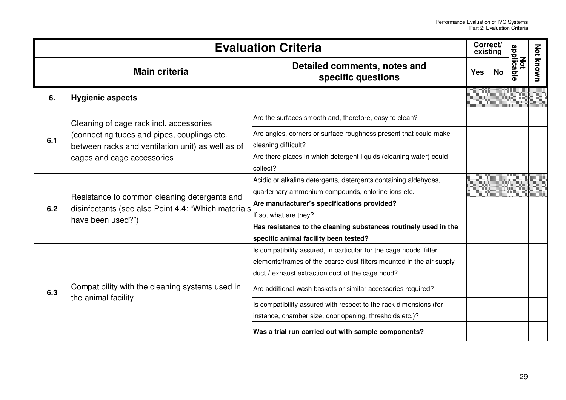|     | <b>Evaluation Criteria</b>                                                                                                     |                                                                                                                                                                                                | Correct/<br>existing |           |                   |                  |
|-----|--------------------------------------------------------------------------------------------------------------------------------|------------------------------------------------------------------------------------------------------------------------------------------------------------------------------------------------|----------------------|-----------|-------------------|------------------|
|     | <b>Main criteria</b>                                                                                                           | Detailed comments, notes and<br>specific questions                                                                                                                                             | <b>Yes</b>           | <b>No</b> | Not<br>applicable | <b>Not known</b> |
| 6.  | <b>Hygienic aspects</b>                                                                                                        |                                                                                                                                                                                                |                      |           |                   |                  |
|     | Cleaning of cage rack incl. accessories                                                                                        | Are the surfaces smooth and, therefore, easy to clean?                                                                                                                                         |                      |           |                   |                  |
| 6.1 | (connecting tubes and pipes, couplings etc.<br>between racks and ventilation unit) as well as of<br>cages and cage accessories | Are angles, corners or surface roughness present that could make<br>cleaning difficult?                                                                                                        |                      |           |                   |                  |
|     |                                                                                                                                | Are there places in which detergent liquids (cleaning water) could<br>collect?                                                                                                                 |                      |           |                   |                  |
|     | Resistance to common cleaning detergents and<br>disinfectants (see also Point 4.4: "Which materials<br>have been used?")       | Acidic or alkaline detergents, detergents containing aldehydes,<br>quarternary ammonium compounds, chlorine ions etc.                                                                          |                      |           |                   |                  |
| 6.2 |                                                                                                                                | Are manufacturer's specifications provided?                                                                                                                                                    |                      |           |                   |                  |
|     |                                                                                                                                | Has resistance to the cleaning substances routinely used in the<br>specific animal facility been tested?                                                                                       |                      |           |                   |                  |
|     |                                                                                                                                | Is compatibility assured, in particular for the cage hoods, filter<br>elements/frames of the coarse dust filters mounted in the air supply<br>duct / exhaust extraction duct of the cage hood? |                      |           |                   |                  |
| 6.3 | Compatibility with the cleaning systems used in<br>the animal facility                                                         | Are additional wash baskets or similar accessories required?                                                                                                                                   |                      |           |                   |                  |
|     |                                                                                                                                | Is compatibility assured with respect to the rack dimensions (for<br>instance, chamber size, door opening, thresholds etc.)?                                                                   |                      |           |                   |                  |
|     |                                                                                                                                | Was a trial run carried out with sample components?                                                                                                                                            |                      |           |                   |                  |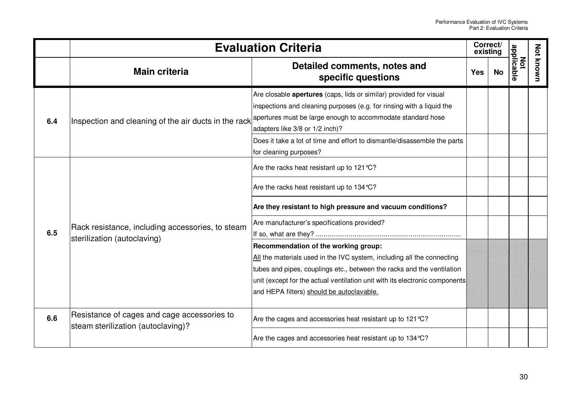|     | <b>Evaluation Criteria</b>                                                        |                                                                                                                                                                                                                                                                                                                                                                                                                         | Correct/<br>existing |           |                   |                  |
|-----|-----------------------------------------------------------------------------------|-------------------------------------------------------------------------------------------------------------------------------------------------------------------------------------------------------------------------------------------------------------------------------------------------------------------------------------------------------------------------------------------------------------------------|----------------------|-----------|-------------------|------------------|
|     | <b>Main criteria</b>                                                              | Detailed comments, notes and<br>specific questions                                                                                                                                                                                                                                                                                                                                                                      | <b>Yes</b>           | <b>No</b> | Not<br>applicable | <b>Not known</b> |
| 6.4 |                                                                                   | Are closable apertures (caps, lids or similar) provided for visual<br>inspections and cleaning purposes (e.g. for rinsing with a liquid the<br>Inspection and cleaning of the air ducts in the rack $\big ^\text{apertures}$ must be large enough to accommodate standard hose<br>adapters like 3/8 or 1/2 inch)?<br>Does it take a lot of time and effort to dismantle/disassemble the parts<br>for cleaning purposes? |                      |           |                   |                  |
| 6.5 | Rack resistance, including accessories, to steam<br>sterilization (autoclaving)   | Are the racks heat resistant up to 121 °C?<br>Are the racks heat resistant up to 134 °C?<br>Are they resistant to high pressure and vacuum conditions?                                                                                                                                                                                                                                                                  |                      |           |                   |                  |
|     |                                                                                   | Are manufacturer's specifications provided?<br>Recommendation of the working group:<br>All the materials used in the IVC system, including all the connecting<br>tubes and pipes, couplings etc., between the racks and the ventilation<br>unit (except for the actual ventilation unit with its electronic components)<br>and HEPA filters) should be autoclavable.                                                    |                      |           |                   |                  |
| 6.6 | Resistance of cages and cage accessories to<br>steam sterilization (autoclaving)? | Are the cages and accessories heat resistant up to 121 °C?                                                                                                                                                                                                                                                                                                                                                              |                      |           |                   |                  |
|     |                                                                                   | Are the cages and accessories heat resistant up to 134 °C?                                                                                                                                                                                                                                                                                                                                                              |                      |           |                   |                  |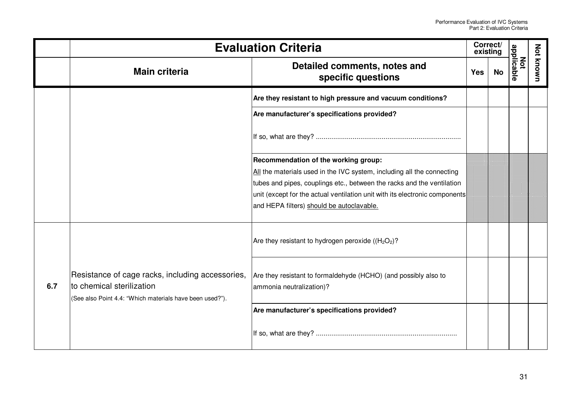| <b>Evaluation Criteria</b> |                                                                                                                                           |                                                                                                                                                                                                                                                                                                                      | Correct/<br>existing |           |                   |           |
|----------------------------|-------------------------------------------------------------------------------------------------------------------------------------------|----------------------------------------------------------------------------------------------------------------------------------------------------------------------------------------------------------------------------------------------------------------------------------------------------------------------|----------------------|-----------|-------------------|-----------|
|                            | <b>Main criteria</b>                                                                                                                      | Detailed comments, notes and<br>specific questions                                                                                                                                                                                                                                                                   | <b>Yes</b>           | <b>No</b> | Not<br>applicable | Not known |
|                            |                                                                                                                                           | Are they resistant to high pressure and vacuum conditions?                                                                                                                                                                                                                                                           |                      |           |                   |           |
|                            |                                                                                                                                           | Are manufacturer's specifications provided?                                                                                                                                                                                                                                                                          |                      |           |                   |           |
|                            |                                                                                                                                           |                                                                                                                                                                                                                                                                                                                      |                      |           |                   |           |
|                            |                                                                                                                                           | Recommendation of the working group:<br>All the materials used in the IVC system, including all the connecting<br>tubes and pipes, couplings etc., between the racks and the ventilation<br>unit (except for the actual ventilation unit with its electronic components<br>and HEPA filters) should be autoclavable. |                      |           |                   |           |
| 6.7                        | Resistance of cage racks, including accessories,<br>to chemical sterilization<br>(See also Point 4.4: "Which materials have been used?"). | Are they resistant to hydrogen peroxide ( $(H_2O_2)$ ?                                                                                                                                                                                                                                                               |                      |           |                   |           |
|                            |                                                                                                                                           | Are they resistant to formaldehyde (HCHO) (and possibly also to<br>ammonia neutralization)?                                                                                                                                                                                                                          |                      |           |                   |           |
|                            |                                                                                                                                           | Are manufacturer's specifications provided?                                                                                                                                                                                                                                                                          |                      |           |                   |           |
|                            |                                                                                                                                           |                                                                                                                                                                                                                                                                                                                      |                      |           |                   |           |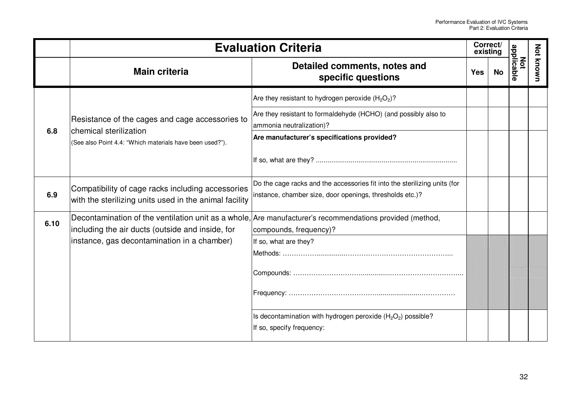|      | <b>Evaluation Criteria</b>                                                                                  |                                                                                                          | Correct/<br>existing |    |                   |                  |
|------|-------------------------------------------------------------------------------------------------------------|----------------------------------------------------------------------------------------------------------|----------------------|----|-------------------|------------------|
|      | <b>Main criteria</b>                                                                                        | Detailed comments, notes and<br>specific questions                                                       | <b>Yes</b>           | No | Not<br>applicable | <b>Not known</b> |
|      |                                                                                                             | Are they resistant to hydrogen peroxide $(H_2O_2)$ ?                                                     |                      |    |                   |                  |
|      | Resistance of the cages and cage accessories to                                                             | Are they resistant to formaldehyde (HCHO) (and possibly also to<br>ammonia neutralization)?              |                      |    |                   |                  |
| 6.8  | chemical sterilization<br>(See also Point 4.4: "Which materials have been used?").                          | Are manufacturer's specifications provided?                                                              |                      |    |                   |                  |
|      |                                                                                                             |                                                                                                          |                      |    |                   |                  |
|      | Compatibility of cage racks including accessories<br>with the sterilizing units used in the animal facility | Do the cage racks and the accessories fit into the sterilizing units (for                                |                      |    |                   |                  |
| 6.9  |                                                                                                             | instance, chamber size, door openings, thresholds etc.)?                                                 |                      |    |                   |                  |
| 6.10 |                                                                                                             | Decontamination of the ventilation unit as a whole, Are manufacturer's recommendations provided (method, |                      |    |                   |                  |
|      | including the air ducts (outside and inside, for                                                            | compounds, frequency)?                                                                                   |                      |    |                   |                  |
|      | instance, gas decontamination in a chamber)                                                                 | If so, what are they?                                                                                    |                      |    |                   |                  |
|      |                                                                                                             |                                                                                                          |                      |    |                   |                  |
|      |                                                                                                             |                                                                                                          |                      |    |                   |                  |
|      |                                                                                                             |                                                                                                          |                      |    |                   |                  |
|      |                                                                                                             |                                                                                                          |                      |    |                   |                  |
|      |                                                                                                             | Is decontamination with hydrogen peroxide $(H_2O_2)$ possible?                                           |                      |    |                   |                  |
|      |                                                                                                             | If so, specify frequency:                                                                                |                      |    |                   |                  |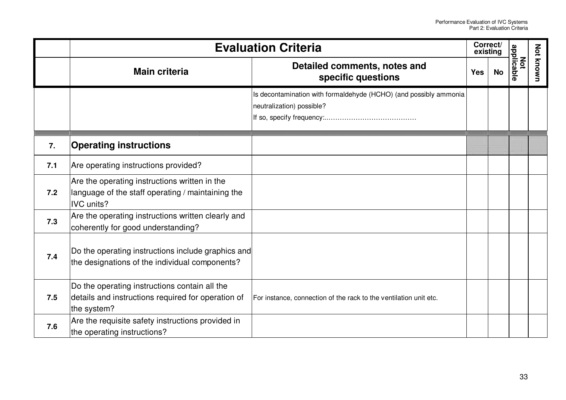|     | <b>Evaluation Criteria</b>                                                                                              |                                                                                                |            | Correct/<br>existing |                   |                  |
|-----|-------------------------------------------------------------------------------------------------------------------------|------------------------------------------------------------------------------------------------|------------|----------------------|-------------------|------------------|
|     | <b>Main criteria</b>                                                                                                    | Detailed comments, notes and<br>specific questions                                             | <b>Yes</b> | No                   | Not<br>applicable | <b>Not known</b> |
|     |                                                                                                                         | Is decontamination with formaldehyde (HCHO) (and possibly ammonia<br>neutralization) possible? |            |                      |                   |                  |
| 7.  | <b>Operating instructions</b>                                                                                           |                                                                                                |            |                      |                   |                  |
| 7.1 | Are operating instructions provided?                                                                                    |                                                                                                |            |                      |                   |                  |
| 7.2 | Are the operating instructions written in the<br>language of the staff operating / maintaining the<br><b>IVC</b> units? |                                                                                                |            |                      |                   |                  |
| 7.3 | Are the operating instructions written clearly and<br>coherently for good understanding?                                |                                                                                                |            |                      |                   |                  |
| 7.4 | Do the operating instructions include graphics and<br>the designations of the individual components?                    |                                                                                                |            |                      |                   |                  |
| 7.5 | Do the operating instructions contain all the<br>details and instructions required for operation of<br>the system?      | For instance, connection of the rack to the ventilation unit etc.                              |            |                      |                   |                  |
| 7.6 | Are the requisite safety instructions provided in<br>the operating instructions?                                        |                                                                                                |            |                      |                   |                  |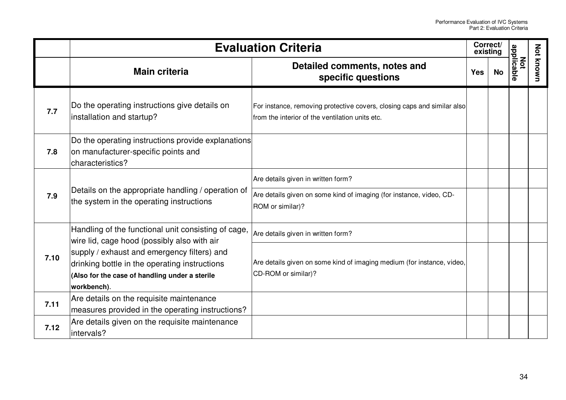|      | <b>Evaluation Criteria</b>                                                                                                                                                                                                                                          |                                                                                                                                     | Correct/<br>existing |           |                   |           |
|------|---------------------------------------------------------------------------------------------------------------------------------------------------------------------------------------------------------------------------------------------------------------------|-------------------------------------------------------------------------------------------------------------------------------------|----------------------|-----------|-------------------|-----------|
|      | <b>Main criteria</b>                                                                                                                                                                                                                                                | Detailed comments, notes and<br>specific questions                                                                                  | <b>Yes</b>           | <b>No</b> | Not<br>applicable | Not known |
| 7.7  | Do the operating instructions give details on<br>installation and startup?                                                                                                                                                                                          | For instance, removing protective covers, closing caps and similar also<br>from the interior of the ventilation units etc.          |                      |           |                   |           |
| 7.8  | Do the operating instructions provide explanations<br>on manufacturer-specific points and<br>characteristics?                                                                                                                                                       |                                                                                                                                     |                      |           |                   |           |
| 7.9  | Details on the appropriate handling / operation of<br>the system in the operating instructions                                                                                                                                                                      | Are details given in written form?<br>Are details given on some kind of imaging (for instance, video, CD-<br>ROM or similar)?       |                      |           |                   |           |
| 7.10 | Handling of the functional unit consisting of cage,<br>wire lid, cage hood (possibly also with air<br>supply / exhaust and emergency filters) and<br>drinking bottle in the operating instructions<br>(Also for the case of handling under a sterile<br>workbench). | Are details given in written form?<br>Are details given on some kind of imaging medium (for instance, video,<br>CD-ROM or similar)? |                      |           |                   |           |
| 7.11 | Are details on the requisite maintenance<br>measures provided in the operating instructions?                                                                                                                                                                        |                                                                                                                                     |                      |           |                   |           |
| 7.12 | Are details given on the requisite maintenance<br>intervals?                                                                                                                                                                                                        |                                                                                                                                     |                      |           |                   |           |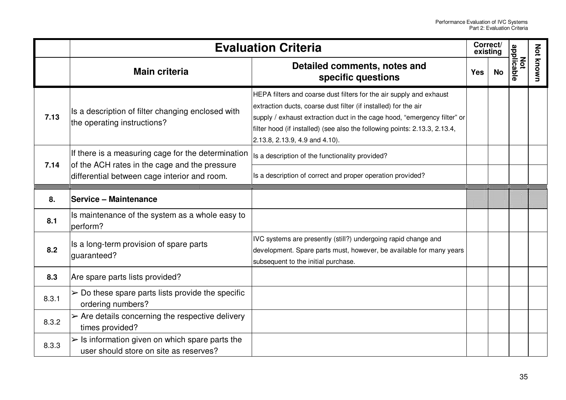|       | <b>Evaluation Criteria</b>                                                                                                                          |                                                                                                                                                                                                                                                                                                                                    |            | Correct/<br>existing |                   |                  |
|-------|-----------------------------------------------------------------------------------------------------------------------------------------------------|------------------------------------------------------------------------------------------------------------------------------------------------------------------------------------------------------------------------------------------------------------------------------------------------------------------------------------|------------|----------------------|-------------------|------------------|
|       | <b>Main criteria</b>                                                                                                                                | Detailed comments, notes and<br>specific questions                                                                                                                                                                                                                                                                                 | <b>Yes</b> | <b>No</b>            | Not<br>applicable | <b>Not known</b> |
| 7.13  | Is a description of filter changing enclosed with<br>the operating instructions?                                                                    | HEPA filters and coarse dust filters for the air supply and exhaust<br>extraction ducts, coarse dust filter (if installed) for the air<br>supply / exhaust extraction duct in the cage hood, "emergency filter" or<br>filter hood (if installed) (see also the following points: 2.13.3, 2.13.4,<br>2.13.8, 2.13.9, 4.9 and 4.10). |            |                      |                   |                  |
| 7.14  | If there is a measuring cage for the determination<br>of the ACH rates in the cage and the pressure<br>differential between cage interior and room. | Is a description of the functionality provided?<br>Is a description of correct and proper operation provided?                                                                                                                                                                                                                      |            |                      |                   |                  |
| 8.    | Service - Maintenance                                                                                                                               |                                                                                                                                                                                                                                                                                                                                    |            |                      |                   |                  |
| 8.1   | Is maintenance of the system as a whole easy to<br>perform?                                                                                         |                                                                                                                                                                                                                                                                                                                                    |            |                      |                   |                  |
| 8.2   | Is a long-term provision of spare parts<br>guaranteed?                                                                                              | IVC systems are presently (still?) undergoing rapid change and<br>development. Spare parts must, however, be available for many years<br>subsequent to the initial purchase.                                                                                                                                                       |            |                      |                   |                  |
| 8.3   | Are spare parts lists provided?                                                                                                                     |                                                                                                                                                                                                                                                                                                                                    |            |                      |                   |                  |
| 8.3.1 | $\triangleright$ Do these spare parts lists provide the specific<br>ordering numbers?                                                               |                                                                                                                                                                                                                                                                                                                                    |            |                      |                   |                  |
| 8.3.2 | $\triangleright$ Are details concerning the respective delivery<br>times provided?                                                                  |                                                                                                                                                                                                                                                                                                                                    |            |                      |                   |                  |
| 8.3.3 | $\triangleright$ Is information given on which spare parts the<br>user should store on site as reserves?                                            |                                                                                                                                                                                                                                                                                                                                    |            |                      |                   |                  |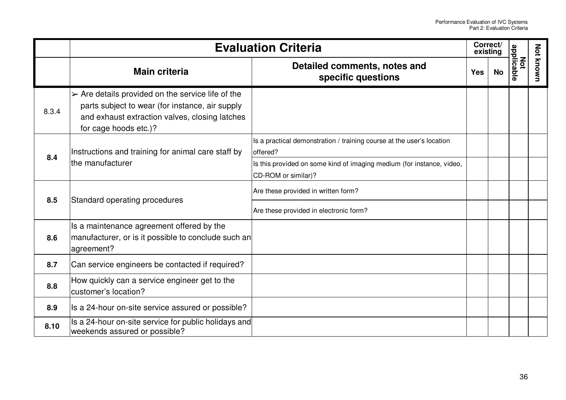|       | <b>Evaluation Criteria</b>                                                                                                                                                                     |                                                                                              |            | Correct/<br>existing |                   |                  |
|-------|------------------------------------------------------------------------------------------------------------------------------------------------------------------------------------------------|----------------------------------------------------------------------------------------------|------------|----------------------|-------------------|------------------|
|       | <b>Main criteria</b>                                                                                                                                                                           | Detailed comments, notes and<br>specific questions                                           | <b>Yes</b> | No                   | Not<br>applicable | <b>Not known</b> |
| 8.3.4 | $\triangleright$ Are details provided on the service life of the<br>parts subject to wear (for instance, air supply<br>and exhaust extraction valves, closing latches<br>for cage hoods etc.)? |                                                                                              |            |                      |                   |                  |
| 8.4   | Instructions and training for animal care staff by<br>the manufacturer                                                                                                                         | Is a practical demonstration / training course at the user's location<br>offered?            |            |                      |                   |                  |
|       |                                                                                                                                                                                                | Is this provided on some kind of imaging medium (for instance, video,<br>CD-ROM or similar)? |            |                      |                   |                  |
| 8.5   | Standard operating procedures                                                                                                                                                                  | Are these provided in written form?                                                          |            |                      |                   |                  |
|       |                                                                                                                                                                                                | Are these provided in electronic form?                                                       |            |                      |                   |                  |
| 8.6   | Is a maintenance agreement offered by the<br>manufacturer, or is it possible to conclude such an<br>agreement?                                                                                 |                                                                                              |            |                      |                   |                  |
| 8.7   | Can service engineers be contacted if required?                                                                                                                                                |                                                                                              |            |                      |                   |                  |
| 8.8   | How quickly can a service engineer get to the<br>customer's location?                                                                                                                          |                                                                                              |            |                      |                   |                  |
| 8.9   | Is a 24-hour on-site service assured or possible?                                                                                                                                              |                                                                                              |            |                      |                   |                  |
| 8.10  | Is a 24-hour on-site service for public holidays and<br>weekends assured or possible?                                                                                                          |                                                                                              |            |                      |                   |                  |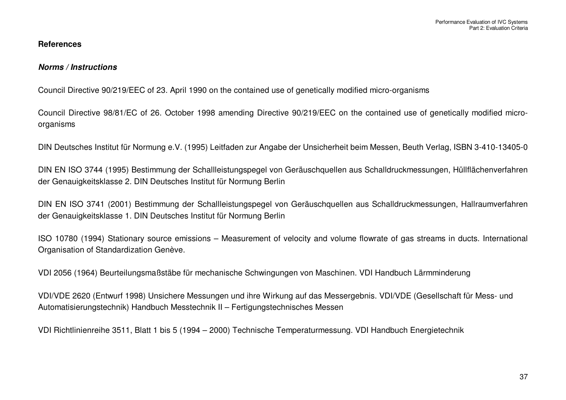## **References**

#### *Norms / Instructions*

Council Directive 90/219/EEC of 23. April 1990 on the contained use of genetically modified micro-organisms

Council Directive 98/81/EC of 26. October 1998 amending Directive 90/219/EEC on the contained use of genetically modified microorganisms

DIN Deutsches Institut für Normung e.V. (1995) Leitfaden zur Angabe der Unsicherheit beim Messen, Beuth Verlag, ISBN 3-410-13405-0

DIN EN ISO 3744 (1995) Bestimmung der Schallleistungspegel von Geräuschquellen aus Schalldruckmessungen, Hüllflächenverfahren der Genauigkeitsklasse 2. DIN Deutsches Institut für Normung Berlin

DIN EN ISO 3741 (2001) Bestimmung der Schallleistungspegel von Geräuschquellen aus Schalldruckmessungen, Hallraumverfahren der Genauigkeitsklasse 1. DIN Deutsches Institut für Normung Berlin

ISO 10780 (1994) Stationary source emissions – Measurement of velocity and volume flowrate of gas streams in ducts. International Organisation of Standardization Genève.

VDI 2056 (1964) Beurteilungsmaßstäbe für mechanische Schwingungen von Maschinen. VDI Handbuch Lärmminderung

VDI/VDE 2620 (Entwurf 1998) Unsichere Messungen und ihre Wirkung auf das Messergebnis. VDI/VDE (Gesellschaft für Mess- und Automatisierungstechnik) Handbuch Messtechnik II – Fertigungstechnisches Messen

VDI Richtlinienreihe 3511, Blatt 1 bis 5 (1994 – 2000) Technische Temperaturmessung. VDI Handbuch Energietechnik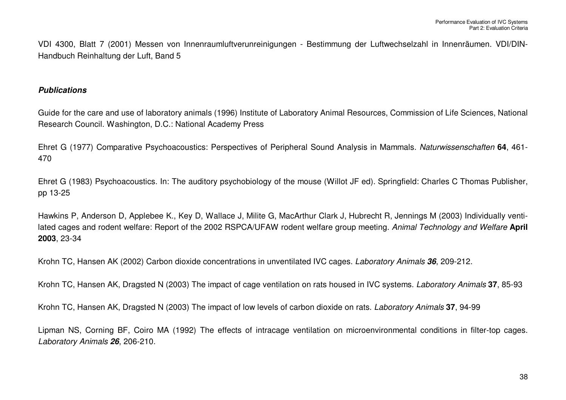VDI 4300, Blatt 7 (2001) Messen von Innenraumluftverunreinigungen - Bestimmung der Luftwechselzahl in Innenräumen. VDI/DIN-Handbuch Reinhaltung der Luft, Band 5

### *Publications*

Guide for the care and use of laboratory animals (1996) Institute of Laboratory Animal Resources, Commission of Life Sciences, National Research Council. Washington, D.C.: National Academy Press

Ehret G (1977) Comparative Psychoacoustics: Perspectives of Peripheral Sound Analysis in Mammals*. Naturwissenschaften* **64**, 461- 470

Ehret G (1983) Psychoacoustics. In: The auditory psychobiology of the mouse (Willot JF ed). Springfield: Charles C Thomas Publisher, pp 13-25

Hawkins P, Anderson D, Applebee K., Key D, Wallace J, Milite G, MacArthur Clark J, Hubrecht R, Jennings M (2003) Individually ventilated cages and rodent welfare: Report of the 2002 RSPCA/UFAW rodent welfare group meeting. *Animal Technology and Welfare* **April 2003**, 23-34

Krohn TC, Hansen AK (2002) Carbon dioxide concentrations in unventilated IVC cages. *Laboratory Animals 36*, 209-212.

Krohn TC, Hansen AK, Dragsted N (2003) The impact of cage ventilation on rats housed in IVC systems. *Laboratory Animals* **37**, 85-93

Krohn TC, Hansen AK, Dragsted N (2003) The impact of low levels of carbon dioxide on rats. *Laboratory Animals* **37**, 94-99

Lipman NS, Corning BF, Coiro MA (1992) The effects of intracage ventilation on microenvironmental conditions in filter-top cages. *Laboratory Animals 26*, 206-210.